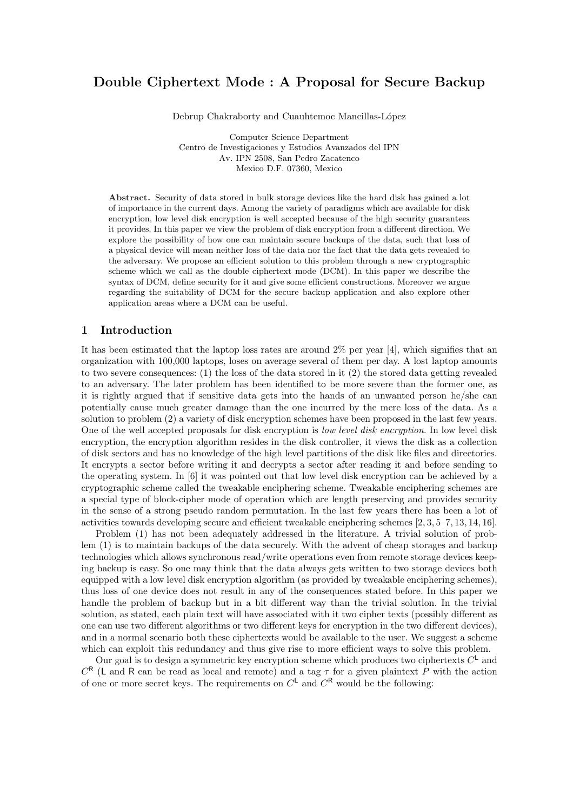# Double Ciphertext Mode : A Proposal for Secure Backup

Debrup Chakraborty and Cuauhtemoc Mancillas-López

Computer Science Department Centro de Investigaciones y Estudios Avanzados del IPN Av. IPN 2508, San Pedro Zacatenco Mexico D.F. 07360, Mexico

Abstract. Security of data stored in bulk storage devices like the hard disk has gained a lot of importance in the current days. Among the variety of paradigms which are available for disk encryption, low level disk encryption is well accepted because of the high security guarantees it provides. In this paper we view the problem of disk encryption from a different direction. We explore the possibility of how one can maintain secure backups of the data, such that loss of a physical device will mean neither loss of the data nor the fact that the data gets revealed to the adversary. We propose an efficient solution to this problem through a new cryptographic scheme which we call as the double ciphertext mode (DCM). In this paper we describe the syntax of DCM, define security for it and give some efficient constructions. Moreover we argue regarding the suitability of DCM for the secure backup application and also explore other application areas where a DCM can be useful.

### 1 Introduction

It has been estimated that the laptop loss rates are around 2% per year [4], which signifies that an organization with 100,000 laptops, loses on average several of them per day. A lost laptop amounts to two severe consequences: (1) the loss of the data stored in it (2) the stored data getting revealed to an adversary. The later problem has been identified to be more severe than the former one, as it is rightly argued that if sensitive data gets into the hands of an unwanted person he/she can potentially cause much greater damage than the one incurred by the mere loss of the data. As a solution to problem (2) a variety of disk encryption schemes have been proposed in the last few years. One of the well accepted proposals for disk encryption is low level disk encryption. In low level disk encryption, the encryption algorithm resides in the disk controller, it views the disk as a collection of disk sectors and has no knowledge of the high level partitions of the disk like files and directories. It encrypts a sector before writing it and decrypts a sector after reading it and before sending to the operating system. In [6] it was pointed out that low level disk encryption can be achieved by a cryptographic scheme called the tweakable enciphering scheme. Tweakable enciphering schemes are a special type of block-cipher mode of operation which are length preserving and provides security in the sense of a strong pseudo random permutation. In the last few years there has been a lot of activities towards developing secure and efficient tweakable enciphering schemes [2, 3, 5–7, 13, 14, 16].

Problem (1) has not been adequately addressed in the literature. A trivial solution of problem (1) is to maintain backups of the data securely. With the advent of cheap storages and backup technologies which allows synchronous read/write operations even from remote storage devices keeping backup is easy. So one may think that the data always gets written to two storage devices both equipped with a low level disk encryption algorithm (as provided by tweakable enciphering schemes), thus loss of one device does not result in any of the consequences stated before. In this paper we handle the problem of backup but in a bit different way than the trivial solution. In the trivial solution, as stated, each plain text will have associated with it two cipher texts (possibly different as one can use two different algorithms or two different keys for encryption in the two different devices), and in a normal scenario both these ciphertexts would be available to the user. We suggest a scheme which can exploit this redundancy and thus give rise to more efficient ways to solve this problem.

Our goal is to design a symmetric key encryption scheme which produces two ciphertexts  $C^{\mathsf{L}}$  and  $C^{R}$  (L and R can be read as local and remote) and a tag  $\tau$  for a given plaintext P with the action of one or more secret keys. The requirements on  $C^{\mathsf{L}}$  and  $C^{\mathsf{R}}$  would be the following: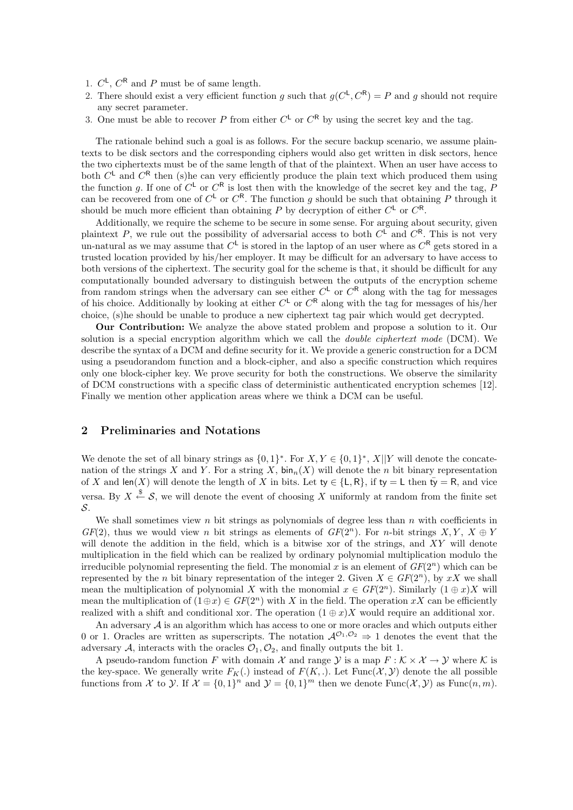- 1.  $C^{\mathsf{L}}$ ,  $C^{\mathsf{R}}$  and P must be of same length.
- 2. There should exist a very efficient function g such that  $g(C^{\mathsf{L}}, C^{\mathsf{R}}) = P$  and g should not require any secret parameter.
- 3. One must be able to recover P from either  $C^{\mathsf{L}}$  or  $C^{\mathsf{R}}$  by using the secret key and the tag.

The rationale behind such a goal is as follows. For the secure backup scenario, we assume plaintexts to be disk sectors and the corresponding ciphers would also get written in disk sectors, hence the two ciphertexts must be of the same length of that of the plaintext. When an user have access to both  $C^{\mathsf{L}}$  and  $C^{\mathsf{R}}$  then (s)he can very efficiently produce the plain text which produced them using the function g. If one of  $C^{\mathsf{L}}$  or  $C^{\mathsf{R}}$  is lost then with the knowledge of the secret key and the tag, P can be recovered from one of  $C^{\mathsf{L}}$  or  $C^{\mathsf{R}}$ . The function g should be such that obtaining P through it should be much more efficient than obtaining P by decryption of either  $C^{\mathsf{L}}$  or  $C^{\mathsf{R}}$ .

Additionally, we require the scheme to be secure in some sense. For arguing about security, given plaintext P, we rule out the possibility of adversarial access to both  $C^{\mathsf{L}}$  and  $C^{\mathsf{R}}$ . This is not very un-natural as we may assume that  $C^{\mathsf{L}}$  is stored in the laptop of an user where as  $C^{\mathsf{R}}$  gets stored in a trusted location provided by his/her employer. It may be difficult for an adversary to have access to both versions of the ciphertext. The security goal for the scheme is that, it should be difficult for any computationally bounded adversary to distinguish between the outputs of the encryption scheme from random strings when the adversary can see either  $C^{\mathsf{L}}$  or  $C^{\mathsf{R}}$  along with the tag for messages of his choice. Additionally by looking at either  $C^{\mathsf{L}}$  or  $C^{\mathsf{R}}$  along with the tag for messages of his/her choice, (s)he should be unable to produce a new ciphertext tag pair which would get decrypted.

Our Contribution: We analyze the above stated problem and propose a solution to it. Our solution is a special encryption algorithm which we call the double ciphertext mode (DCM). We describe the syntax of a DCM and define security for it. We provide a generic construction for a DCM using a pseudorandom function and a block-cipher, and also a specific construction which requires only one block-cipher key. We prove security for both the constructions. We observe the similarity of DCM constructions with a specific class of deterministic authenticated encryption schemes [12]. Finally we mention other application areas where we think a DCM can be useful.

### 2 Preliminaries and Notations

We denote the set of all binary strings as  $\{0,1\}^*$ . For  $X, Y \in \{0,1\}^*$ ,  $X||Y$  will denote the concatenation of the strings X and Y. For a string X,  $\text{bin}_n(X)$  will denote the n bit binary representation of X and len(X) will denote the length of X in bits. Let  $ty \in \{L, R\}$ , if  $ty = L$  then  $t\bar{y} = R$ , and vice versa. By  $X \stackrel{\$}{\leftarrow} \mathcal{S}$ , we will denote the event of choosing X uniformly at random from the finite set S.

We shall sometimes view n bit strings as polynomials of degree less than  $n$  with coefficients in  $GF(2)$ , thus we would view n bit strings as elements of  $GF(2^n)$ . For n-bit strings  $X, Y, X \oplus Y$ will denote the addition in the field, which is a bitwise xor of the strings, and XY will denote multiplication in the field which can be realized by ordinary polynomial multiplication modulo the irreducible polynomial representing the field. The monomial x is an element of  $GF(2<sup>n</sup>)$  which can be represented by the n bit binary representation of the integer 2. Given  $X \in GF(2^n)$ , by xX we shall mean the multiplication of polynomial X with the monomial  $x \in GF(2^n)$ . Similarly  $(1 \oplus x)X$  will mean the multiplication of  $(1 \oplus x) \in GF(2^n)$  with X in the field. The operation xX can be efficiently realized with a shift and conditional xor. The operation  $(1 \oplus x)X$  would require an additional xor.

An adversary  $A$  is an algorithm which has access to one or more oracles and which outputs either 0 or 1. Oracles are written as superscripts. The notation  $\mathcal{A}^{\mathcal{O}_1,\mathcal{O}_2} \Rightarrow 1$  denotes the event that the adversary A, interacts with the oracles  $\mathcal{O}_1, \mathcal{O}_2$ , and finally outputs the bit 1.

A pseudo-random function F with domain X and range Y is a map  $F : \mathcal{K} \times \mathcal{X} \to \mathcal{Y}$  where K is the key-space. We generally write  $F_K(.)$  instead of  $F(K, .)$ . Let  $Func(X, Y)$  denote the all possible functions from X to Y. If  $\mathcal{X} = \{0,1\}^n$  and  $\mathcal{Y} = \{0,1\}^m$  then we denote  $\text{Func}(\mathcal{X}, \mathcal{Y})$  as  $\text{Func}(n, m)$ .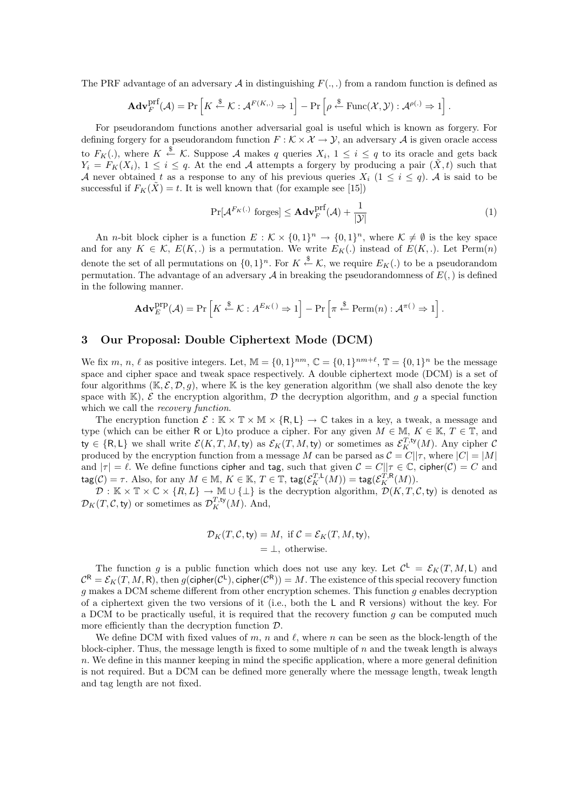The PRF advantage of an adversary A in distinguishing  $F(\ldots)$  from a random function is defined as

$$
\mathbf{Adv}_{F}^{\mathrm{prf}}(\mathcal{A}) = \Pr\left[K \xleftarrow{\$} \mathcal{K} : \mathcal{A}^{F(K,\cdot)} \Rightarrow 1\right] - \Pr\left[\rho \xleftarrow{\$} \mathrm{Func}(\mathcal{X}, \mathcal{Y}) : \mathcal{A}^{\rho(\cdot)} \Rightarrow 1\right]
$$

For pseudorandom functions another adversarial goal is useful which is known as forgery. For defining forgery for a pseudorandom function  $F : \mathcal{K} \times \mathcal{X} \to \mathcal{Y}$ , an adversary  $\mathcal{A}$  is given oracle access to  $F_K(.)$ , where  $K \stackrel{\$}{\leftarrow} \mathcal{K}$ . Suppose A makes q queries  $X_i$ ,  $1 \leq i \leq q$  to its oracle and gets back  $Y_i = F_K(X_i), 1 \leq i \leq q$ . At the end A attempts a forgery by producing a pair  $(\tilde{X}, t)$  such that A never obtained t as a response to any of his previous queries  $X_i$  ( $1 \le i \le q$ ). A is said to be successful if  $F_K(\tilde{X}) = t$ . It is well known that (for example see [15])

$$
\Pr[\mathcal{A}^{F_K(.)} \text{ forges}] \le \mathbf{Adv}_F^{\text{prf}}(\mathcal{A}) + \frac{1}{|\mathcal{Y}|}\tag{1}
$$

.

An *n*-bit block cipher is a function  $E : \mathcal{K} \times \{0,1\}^n \to \{0,1\}^n$ , where  $\mathcal{K} \neq \emptyset$  is the key space and for any  $K \in \mathcal{K}$ ,  $E(K,.)$  is a permutation. We write  $E_K(.)$  instead of  $E(K,.)$ . Let Perm $(n)$ denote the set of all permutations on  $\{0,1\}^n$ . For  $K \stackrel{\$}{\leftarrow} \mathcal{K}$ , we require  $E_K(.)$  to be a pseudorandom permutation. The advantage of an adversary  $A$  in breaking the pseudorandomness of  $E(.)$  is defined in the following manner.

$$
\mathbf{Adv}_{E}^{\text{prp}}(\mathcal{A}) = \Pr\left[K \stackrel{\$}{\leftarrow} \mathcal{K} : A^{E_K(\ )} \Rightarrow 1\right] - \Pr\left[\pi \stackrel{\$}{\leftarrow} \text{Perm}(n) : \mathcal{A}^{\pi(\ )} \Rightarrow 1\right].
$$

### 3 Our Proposal: Double Ciphertext Mode (DCM)

We fix m, n,  $\ell$  as positive integers. Let,  $\mathbb{M} = \{0, 1\}^{nm}$ ,  $\mathbb{C} = \{0, 1\}^{nm+\ell}$ ,  $\mathbb{T} = \{0, 1\}^n$  be the message space and cipher space and tweak space respectively. A double ciphertext mode (DCM) is a set of four algorithms  $(K, \mathcal{E}, \mathcal{D}, q)$ , where K is the key generation algorithm (we shall also denote the key space with  $\mathbb{K}$ ),  $\mathcal{E}$  the encryption algorithm,  $\mathcal{D}$  the decryption algorithm, and q a special function which we call the *recovery function*.

The encryption function  $\mathcal{E} : \mathbb{K} \times \mathbb{T} \times \mathbb{M} \times \{R, L\} \to \mathbb{C}$  takes in a key, a tweak, a message and type (which can be either R or L)to produce a cipher. For any given  $M \in \mathbb{M}$ ,  $K \in \mathbb{K}$ ,  $T \in \mathbb{T}$ , and ty  $\in \{\mathsf{R},\mathsf{L}\}$  we shall write  $\mathcal{E}(K,T,M,\mathsf{ty})$  as  $\mathcal{E}_K(T,M,\mathsf{ty})$  or sometimes as  $\mathcal{E}_K^{T,\mathsf{ty}}(M)$ . Any cipher  $\mathcal{C}$ produced by the encryption function from a message M can be parsed as  $C = C||\tau$ , where  $|C| = |M|$ and  $|\tau| = \ell$ . We define functions cipher and tag, such that given  $C = C||\tau \in \mathbb{C}$ , cipher $(\mathcal{C}) = C$  and  $\mathsf{tag}(\mathcal{C}) = \tau$ . Also, for any  $M \in \mathbb{M}$ ,  $K \in \mathbb{K}$ ,  $T \in \mathbb{T}$ ,  $\mathsf{tag}(\mathcal{E}_K^{T,\mathsf{L}}(M)) = \mathsf{tag}(\mathcal{E}_K^{T,\mathsf{R}}(M)).$ 

 $\mathcal{D}: \mathbb{K} \times \mathbb{T} \times \mathbb{C} \times \{R, L\} \to \mathbb{M} \cup \{\perp\}$  is the decryption algorithm,  $\mathcal{D}(K, T, \mathcal{C}, \mathsf{ty})$  is denoted as  $\mathcal{D}_K(T, \mathcal{C}, \mathsf{ty})$  or sometimes as  $\mathcal{D}_K^{T,\mathsf{ty}}(M)$ . And,

$$
\mathcal{D}_K(T, C, \mathsf{ty}) = M, \text{ if } C = \mathcal{E}_K(T, M, \mathsf{ty}),
$$
  
=  $\perp$ , otherwise.

The function g is a public function which does not use any key. Let  $\mathcal{C}^{\mathsf{L}} = \mathcal{E}_K(T, M, \mathsf{L})$  and  $\mathcal{C}^{\mathsf{R}}=\mathcal{E}_K(T,M,\mathsf{R}),$  then  $g(\mathsf{cipher}(\mathcal{C}^{\mathsf{L}}),\mathsf{cipher}(\mathcal{C}^{\mathsf{R}}))=M.$  The existence of this special recovery function g makes a DCM scheme different from other encryption schemes. This function g enables decryption of a ciphertext given the two versions of it (i.e., both the L and R versions) without the key. For a DCM to be practically useful, it is required that the recovery function  $g$  can be computed much more efficiently than the decryption function  $\mathcal{D}$ .

We define DCM with fixed values of m, n and  $\ell$ , where n can be seen as the block-length of the block-cipher. Thus, the message length is fixed to some multiple of  $n$  and the tweak length is always  $n.$  We define in this manner keeping in mind the specific application, where a more general definition is not required. But a DCM can be defined more generally where the message length, tweak length and tag length are not fixed.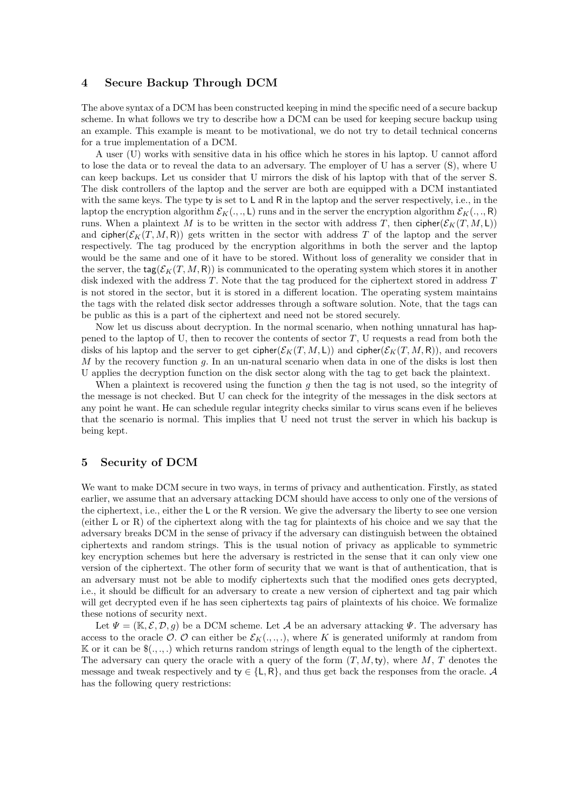### 4 Secure Backup Through DCM

The above syntax of a DCM has been constructed keeping in mind the specific need of a secure backup scheme. In what follows we try to describe how a DCM can be used for keeping secure backup using an example. This example is meant to be motivational, we do not try to detail technical concerns for a true implementation of a DCM.

A user (U) works with sensitive data in his office which he stores in his laptop. U cannot afford to lose the data or to reveal the data to an adversary. The employer of U has a server (S), where U can keep backups. Let us consider that U mirrors the disk of his laptop with that of the server S. The disk controllers of the laptop and the server are both are equipped with a DCM instantiated with the same keys. The type ty is set to  $L$  and  $R$  in the laptop and the server respectively, i.e., in the laptop the encryption algorithm  $\mathcal{E}_K(.,.,\mathsf{L})$  runs and in the server the encryption algorithm  $\mathcal{E}_K(.,.,\mathsf{R})$ runs. When a plaintext M is to be written in the sector with address T, then cipher( $\mathcal{E}_K(T, M, L)$ ) and cipher( $\mathcal{E}_K(T, M, R)$ ) gets written in the sector with address T of the laptop and the server respectively. The tag produced by the encryption algorithms in both the server and the laptop would be the same and one of it have to be stored. Without loss of generality we consider that in the server, the tag( $\mathcal{E}_K(T, M, R)$ ) is communicated to the operating system which stores it in another disk indexed with the address T. Note that the tag produced for the ciphertext stored in address T is not stored in the sector, but it is stored in a different location. The operating system maintains the tags with the related disk sector addresses through a software solution. Note, that the tags can be public as this is a part of the ciphertext and need not be stored securely.

Now let us discuss about decryption. In the normal scenario, when nothing unnatural has happened to the laptop of U, then to recover the contents of sector  $T$ , U requests a read from both the disks of his laptop and the server to get cipher( $\mathcal{E}_K(T, M, L)$ ) and cipher( $\mathcal{E}_K(T, M, R)$ ), and recovers  $M$  by the recovery function  $g$ . In an un-natural scenario when data in one of the disks is lost then U applies the decryption function on the disk sector along with the tag to get back the plaintext.

When a plaintext is recovered using the function  $g$  then the tag is not used, so the integrity of the message is not checked. But U can check for the integrity of the messages in the disk sectors at any point he want. He can schedule regular integrity checks similar to virus scans even if he believes that the scenario is normal. This implies that U need not trust the server in which his backup is being kept.

# 5 Security of DCM

We want to make DCM secure in two ways, in terms of privacy and authentication. Firstly, as stated earlier, we assume that an adversary attacking DCM should have access to only one of the versions of the ciphertext, i.e., either the L or the R version. We give the adversary the liberty to see one version (either L or R) of the ciphertext along with the tag for plaintexts of his choice and we say that the adversary breaks DCM in the sense of privacy if the adversary can distinguish between the obtained ciphertexts and random strings. This is the usual notion of privacy as applicable to symmetric key encryption schemes but here the adversary is restricted in the sense that it can only view one version of the ciphertext. The other form of security that we want is that of authentication, that is an adversary must not be able to modify ciphertexts such that the modified ones gets decrypted, i.e., it should be difficult for an adversary to create a new version of ciphertext and tag pair which will get decrypted even if he has seen ciphertexts tag pairs of plaintexts of his choice. We formalize these notions of security next.

Let  $\Psi = (\mathbb{K}, \mathcal{E}, \mathcal{D}, g)$  be a DCM scheme. Let A be an adversary attacking  $\Psi$ . The adversary has access to the oracle  $\mathcal{O}$ .  $\mathcal{O}$  can either be  $\mathcal{E}_K(\ldots, \ldots)$ , where K is generated uniformly at random from K or it can be  $\mathcal{S}(\ldots)$  which returns random strings of length equal to the length of the ciphertext. The adversary can query the oracle with a query of the form  $(T, M, ty)$ , where M, T denotes the message and tweak respectively and  $t$ y ∈ {L, R}, and thus get back the responses from the oracle. A has the following query restrictions: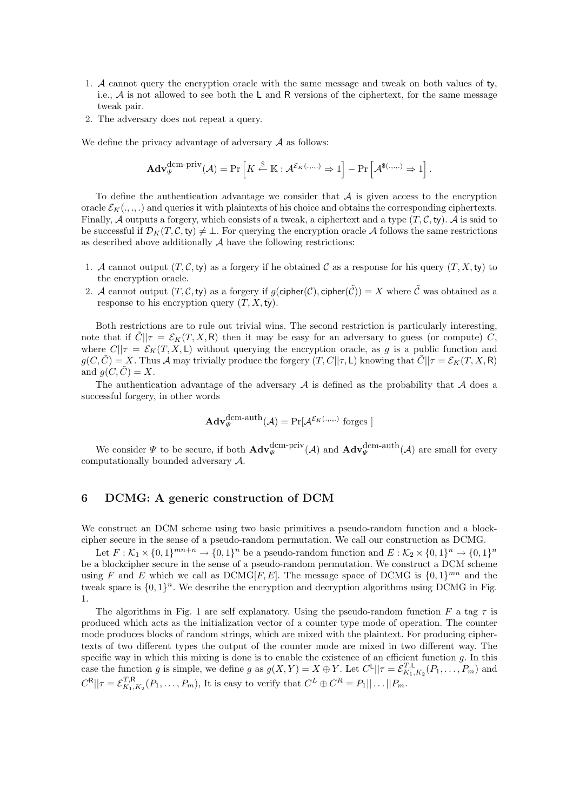- 1. A cannot query the encryption oracle with the same message and tweak on both values of ty, i.e.,  $A$  is not allowed to see both the L and R versions of the ciphertext, for the same message tweak pair.
- 2. The adversary does not repeat a query.

We define the privacy advantage of adversary  $A$  as follows:

$$
\mathbf{Adv}_{\Psi}^{\mathrm{dem-priv}}(\mathcal{A}) = \Pr\left[K \stackrel{\$}{\leftarrow} \mathbb{K} : \mathcal{A}^{\mathcal{E}_{K}(...,)} \Rightarrow 1\right] - \Pr\left[\mathcal{A}^{\$(...,)} \Rightarrow 1\right].
$$

To define the authentication advantage we consider that  $A$  is given access to the encryption oracle  $\mathcal{E}_K(\ldots)$  and queries it with plaintexts of his choice and obtains the corresponding ciphertexts. Finally, A outputs a forgery, which consists of a tweak, a ciphertext and a type  $(T, \mathcal{C}, \mathsf{ty})$ . A is said to be successful if  $\mathcal{D}_K(T, \mathcal{C}, \mathsf{ty}) \neq \bot$ . For querying the encryption oracle A follows the same restrictions as described above additionally  $A$  have the following restrictions:

- 1. A cannot output  $(T, \mathcal{C}, t\mathbf{y})$  as a forgery if he obtained C as a response for his query  $(T, X, t\mathbf{y})$  to the encryption oracle.
- 2. A cannot output  $(T, \mathcal{C}, \mathsf{tv})$  as a forgery if  $g(\mathsf{cipher}(\mathcal{C}), \mathsf{cipher}(\tilde{\mathcal{C}})) = X$  where  $\tilde{\mathcal{C}}$  was obtained as a response to his encryption query  $(T, X, \overline{t} \overline{y})$ .

Both restrictions are to rule out trivial wins. The second restriction is particularly interesting, note that if  $\hat{C}||\tau = \mathcal{E}_K(T, X, R)$  then it may be easy for an adversary to guess (or compute) C, where  $C||\tau = \mathcal{E}_K(T, X, L)$  without querying the encryption oracle, as g is a public function and  $g(C, \tilde{C}) = X$ . Thus A may trivially produce the forgery  $(T, C||\tau, L)$  knowing that  $\tilde{C}||\tau = \mathcal{E}_K(T, X, R)$ and  $g(C, \tilde{C}) = X$ .

The authentication advantage of the adversary  $A$  is defined as the probability that  $A$  does a successful forgery, in other words

$$
\mathbf{Adv}_{\Psi}^{\mathrm{dem-auth}}(\mathcal{A}) = \Pr[\mathcal{A}^{\mathcal{E}_{K}(\cdot,\cdot,\cdot)} \text{ forges } ]
$$

We consider  $\Psi$  to be secure, if both  $\mathbf{Adv}_{\Psi}^{\text{dcm-priv}}(\mathcal{A})$  and  $\mathbf{Adv}_{\Psi}^{\text{dcm-auth}}(\mathcal{A})$  are small for every computationally bounded adversary A.

### 6 DCMG: A generic construction of DCM

We construct an DCM scheme using two basic primitives a pseudo-random function and a blockcipher secure in the sense of a pseudo-random permutation. We call our construction as DCMG.

Let  $F:\mathcal{K}_1\times\{0,1\}^{mn+n}\to\{0,1\}^n$  be a pseudo-random function and  $E:\mathcal{K}_2\times\{0,1\}^n\to\{0,1\}^n$ be a blockcipher secure in the sense of a pseudo-random permutation. We construct a DCM scheme using F and E which we call as  $DCMG[F, E]$ . The message space of DCMG is  $\{0, 1\}^{mn}$  and the tweak space is  $\{0,1\}^n$ . We describe the encryption and decryption algorithms using DCMG in Fig. 1.

The algorithms in Fig. 1 are self explanatory. Using the pseudo-random function F a tag  $\tau$  is produced which acts as the initialization vector of a counter type mode of operation. The counter mode produces blocks of random strings, which are mixed with the plaintext. For producing ciphertexts of two different types the output of the counter mode are mixed in two different way. The specific way in which this mixing is done is to enable the existence of an efficient function  $g$ . In this case the function g is simple, we define g as  $g(X,Y) = X \oplus Y$ . Let  $C^{\mathsf{L}}||\tau = \mathcal{E}_{K_1,K_2}^{T,\mathsf{L}}(P_1,\ldots,P_m)$  and  $C^{R}||\tau = \mathcal{E}_{K_1,K_2}^{T,R}(P_1,\ldots,P_m)$ , It is easy to verify that  $C^L \oplus C^R = P_1||\ldots||P_m$ .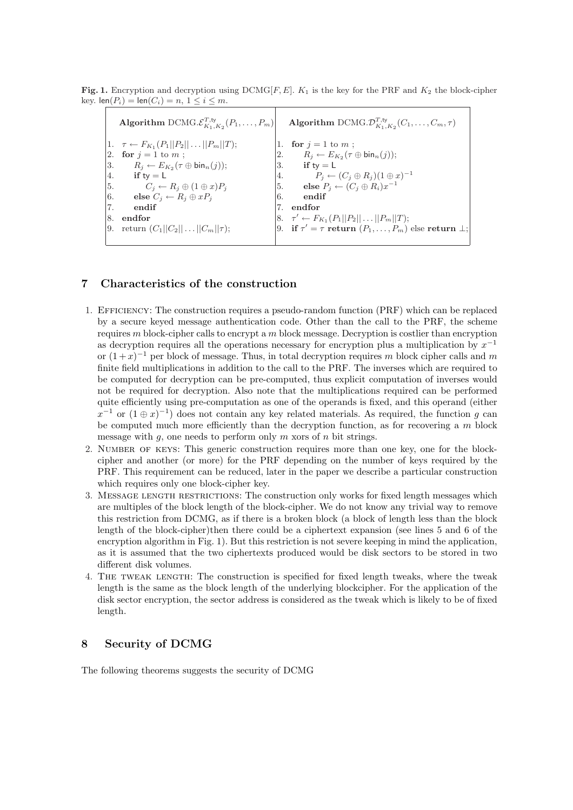Fig. 1. Encryption and decryption using  $DCMG[F, E]$ .  $K_1$  is the key for the PRF and  $K_2$  the block-cipher key.  $\text{len}(P_i) = \text{len}(C_i) = n, 1 \leq i \leq m$ .

|    |                                                           |    | Algorithm DCMG. $\mathcal{E}_{K_1,K_2}^{T,\mathsf{ty}}(P_1,\ldots,P_m)$ Algorithm DCMG. $\mathcal{D}_{K_1,K_2}^{T,\mathsf{ty}}(C_1,\ldots,C_m,\tau)$ |
|----|-----------------------------------------------------------|----|------------------------------------------------------------------------------------------------------------------------------------------------------|
|    | 1. $\tau \leftarrow F_{K_1}(P_1  P_2  \dots  P_m  T);$    |    | 1. for $j = 1$ to m;                                                                                                                                 |
|    | 2. for $j = 1$ to m;                                      |    | 2. $R_j \leftarrow E_{K_2}(\tau \oplus \text{bin}_n(j));$                                                                                            |
|    | 3. $R_j \leftarrow E_{K_2}(\tau \oplus \text{bin}_n(j));$ |    | $3.$ if ty = L                                                                                                                                       |
|    | 4. if $ty = L$                                            |    | 4. $P_j \leftarrow (C_j \oplus R_j)(1 \oplus x)^{-1}$<br>5. <b>else</b> $P_j \leftarrow (C_j \oplus R_i)x^{-1}$                                      |
|    | 5. $C_j \leftarrow R_j \oplus (1 \oplus x) P_j$           |    |                                                                                                                                                      |
|    | 6. else $C_i \leftarrow R_i \oplus xP_i$                  | 6. | endif                                                                                                                                                |
| 7. | endif                                                     | 7. | $\boldsymbol{\mathrm{end} \mathrm{ for}}$                                                                                                            |
| 8. | endfor                                                    |    | $ 8. \quad \tau' \leftarrow F_{K_1}(P_1  P_2  \dots  P_m  T);$                                                                                       |
|    | 9. return $(C_1  C_2    C_m  \tau);$                      |    | 9. if $\tau' = \tau$ return $(P_1, \ldots, P_m)$ else return $\bot$ ;                                                                                |
|    |                                                           |    |                                                                                                                                                      |

# 7 Characteristics of the construction

- 1. Efficiency: The construction requires a pseudo-random function (PRF) which can be replaced by a secure keyed message authentication code. Other than the call to the PRF, the scheme requires  $m$  block-cipher calls to encrypt a  $m$  block message. Decryption is costlier than encryption as decryption requires all the operations necessary for encryption plus a multiplication by  $x^{-1}$ or  $(1+x)^{-1}$  per block of message. Thus, in total decryption requires m block cipher calls and m finite field multiplications in addition to the call to the PRF. The inverses which are required to be computed for decryption can be pre-computed, thus explicit computation of inverses would not be required for decryption. Also note that the multiplications required can be performed quite efficiently using pre-computation as one of the operands is fixed, and this operand (either  $x^{-1}$  or  $(1 \oplus x)^{-1}$  does not contain any key related materials. As required, the function g can be computed much more efficiently than the decryption function, as for recovering a  $m$  block message with  $g$ , one needs to perform only  $m$  xors of  $n$  bit strings.
- 2. NUMBER OF KEYS: This generic construction requires more than one key, one for the blockcipher and another (or more) for the PRF depending on the number of keys required by the PRF. This requirement can be reduced, later in the paper we describe a particular construction which requires only one block-cipher key.
- 3. Message length restrictions: The construction only works for fixed length messages which are multiples of the block length of the block-cipher. We do not know any trivial way to remove this restriction from DCMG, as if there is a broken block (a block of length less than the block length of the block-cipher)then there could be a ciphertext expansion (see lines 5 and 6 of the encryption algorithm in Fig. 1). But this restriction is not severe keeping in mind the application, as it is assumed that the two ciphertexts produced would be disk sectors to be stored in two different disk volumes.
- 4. The tweak length: The construction is specified for fixed length tweaks, where the tweak length is the same as the block length of the underlying blockcipher. For the application of the disk sector encryption, the sector address is considered as the tweak which is likely to be of fixed length.

# 8 Security of DCMG

The following theorems suggests the security of DCMG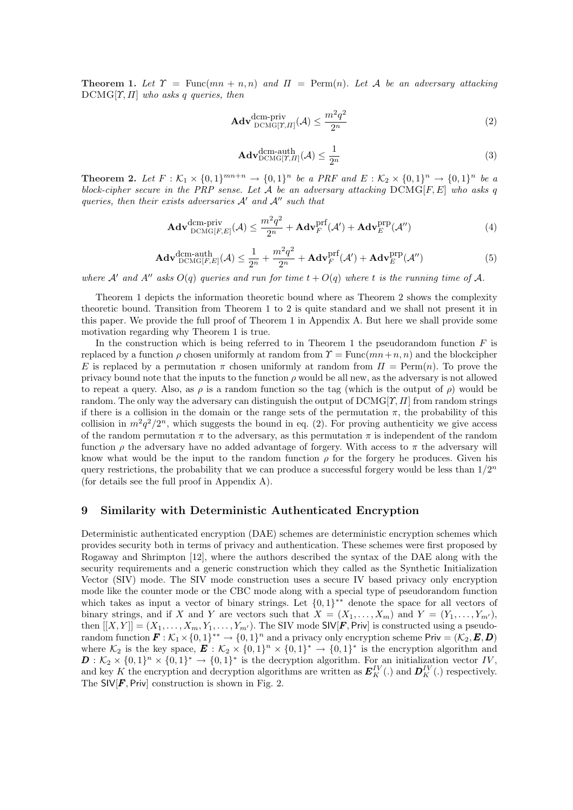**Theorem 1.** Let  $\Upsilon = \text{Func}(mn + n, n)$  and  $\Pi = \text{Perm}(n)$ . Let A be an adversary attacking  $DCMG[\Upsilon, \Pi]$  who asks q queries, then

$$
\mathbf{Adv}_{\mathrm{DCMG}[T,II]}^{\mathrm{dem-priv}}(\mathcal{A}) \le \frac{m^2q^2}{2^n} \tag{2}
$$

$$
\mathbf{Adv}_{\mathrm{DCMG}[T,II]}^{\mathrm{dem-auth}}(\mathcal{A}) \le \frac{1}{2^n} \tag{3}
$$

**Theorem 2.** Let  $F: \mathcal{K}_1 \times \{0,1\}^{mn+n} \to \{0,1\}^n$  be a PRF and  $E: \mathcal{K}_2 \times \{0,1\}^n \to \{0,1\}^n$  be a block-cipher secure in the PRP sense. Let  $A$  be an adversary attacking  $DCMG[F, E]$  who asks q queries, then their exists adversaries  $A'$  and  $A''$  such that

$$
\mathbf{Adv}_{\mathrm{DCMG}[F,E]}^{\mathrm{dem-priv}}(\mathcal{A}) \le \frac{m^2q^2}{2^n} + \mathbf{Adv}_F^{\mathrm{prf}}(\mathcal{A}') + \mathbf{Adv}_E^{\mathrm{prp}}(\mathcal{A}'') \tag{4}
$$

$$
\mathbf{Adv}_{\mathrm{DCMG}[F,E]}^{\mathrm{dem-auth}}(\mathcal{A}) \le \frac{1}{2^n} + \frac{m^2q^2}{2^n} + \mathbf{Adv}_F^{\mathrm{prf}}(\mathcal{A}') + \mathbf{Adv}_E^{\mathrm{prp}}(\mathcal{A}'') \tag{5}
$$

where A' and A'' asks  $O(q)$  queries and run for time  $t + O(q)$  where t is the running time of A.

Theorem 1 depicts the information theoretic bound where as Theorem 2 shows the complexity theoretic bound. Transition from Theorem 1 to 2 is quite standard and we shall not present it in this paper. We provide the full proof of Theorem 1 in Appendix A. But here we shall provide some motivation regarding why Theorem 1 is true.

In the construction which is being referred to in Theorem 1 the pseudorandom function  $F$  is replaced by a function  $\rho$  chosen uniformly at random from  $\Upsilon = \text{Func}(mn+n, n)$  and the blockcipher E is replaced by a permutation  $\pi$  chosen uniformly at random from  $\Pi = \text{Perm}(n)$ . To prove the privacy bound note that the inputs to the function  $\rho$  would be all new, as the adversary is not allowed to repeat a query. Also, as  $\rho$  is a random function so the tag (which is the output of  $\rho$ ) would be random. The only way the adversary can distinguish the output of  $DCMG[\gamma, \Pi]$  from random strings if there is a collision in the domain or the range sets of the permutation  $\pi$ , the probability of this collision in  $m^2q^2/2^n$ , which suggests the bound in eq. (2). For proving authenticity we give access of the random permutation  $\pi$  to the adversary, as this permutation  $\pi$  is independent of the random function  $\rho$  the adversary have no added advantage of forgery. With access to  $\pi$  the adversary will know what would be the input to the random function  $\rho$  for the forgery he produces. Given his query restrictions, the probability that we can produce a successful forgery would be less than  $1/2^n$ (for details see the full proof in Appendix A).

# 9 Similarity with Deterministic Authenticated Encryption

Deterministic authenticated encryption (DAE) schemes are deterministic encryption schemes which provides security both in terms of privacy and authentication. These schemes were first proposed by Rogaway and Shrimpton [12], where the authors described the syntax of the DAE along with the security requirements and a generic construction which they called as the Synthetic Initialization Vector (SIV) mode. The SIV mode construction uses a secure IV based privacy only encryption mode like the counter mode or the CBC mode along with a special type of pseudorandom function which takes as input a vector of binary strings. Let  $\{0,1\}^{**}$  denote the space for all vectors of binary strings, and if X and Y are vectors such that  $X = (X_1, \ldots, X_m)$  and  $Y = (Y_1, \ldots, Y_{m'}),$ then  $[[X, Y]] = (X_1, \ldots, X_m, Y_1, \ldots, Y_{m'})$ . The SIV mode SIV[F, Priv] is constructed using a pseudorandom function  $\mathbf{F}:\mathcal{K}_1\times\{0,1\}^{**}\to\{0,1\}^n$  and a privacy only encryption scheme Priv =  $(\mathcal{K}_2,\mathbf{E},\mathbf{D})$ where  $\mathcal{K}_2$  is the key space,  $\mathbf{E}: \mathcal{K}_2 \times \{0,1\}^n \times \{0,1\}^* \to \{0,1\}^*$  is the encryption algorithm and  $\mathbf{D}: \mathcal{K}_2 \times \{0,1\}^n \times \{0,1\}^* \to \{0,1\}^*$  is the decryption algorithm. For an initialization vector IV, and key K the encryption and decryption algorithms are written as  $E_K^{IV}(.)$  and  $D_K^{IV}(.)$  respectively. The  $S[V]$ , Priv construction is shown in Fig. 2.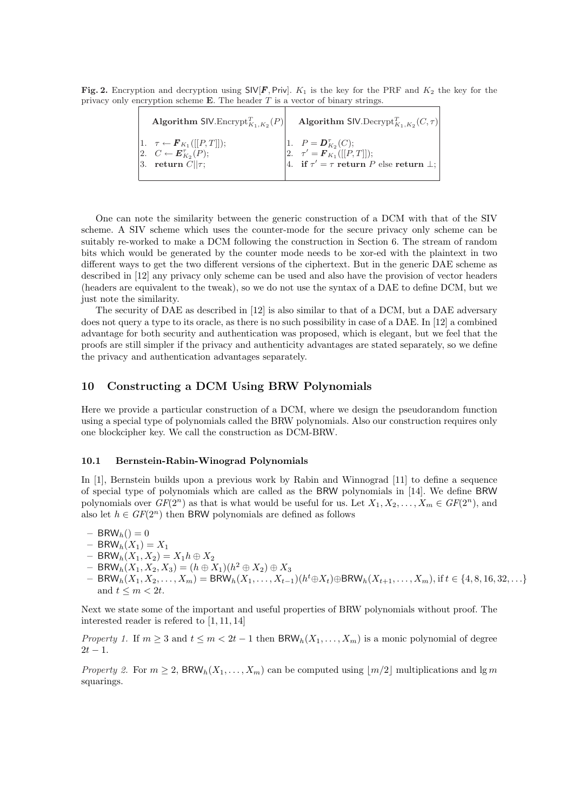Fig. 2. Encryption and decryption using  $SIV[F, Priv]$ .  $K_1$  is the key for the PRF and  $K_2$  the key for the privacy only encryption scheme **E**. The header  $T$  is a vector of binary strings.

| <b>Algorithm SIV.</b> Encrypt <sub><math>K_1, K_2(P)</math></sub>                                                                            | <b>Algorithm SIV.</b> Decrypt <sub>K<sub>1,K2</sub></sub> $(C, \tau)$                                                                |
|----------------------------------------------------------------------------------------------------------------------------------------------|--------------------------------------------------------------------------------------------------------------------------------------|
| $[1. \quad \tau \leftarrow \bm{F}_{K_1}([[P, T]]);$<br> 2. $C \leftarrow \boldsymbol{E}_{K_2}^{\tau}(P);$<br>3. return $\overline{C}  \tau;$ | 1. $P = \mathbf{D}_{K_2}^{\tau}(C);$<br>2. $\tau' = \mathbf{F}_{K_1}([[P,T]]);$<br>4. if $\tau' = \tau$ return P else return $\bot;$ |

One can note the similarity between the generic construction of a DCM with that of the SIV scheme. A SIV scheme which uses the counter-mode for the secure privacy only scheme can be suitably re-worked to make a DCM following the construction in Section 6. The stream of random bits which would be generated by the counter mode needs to be xor-ed with the plaintext in two different ways to get the two different versions of the ciphertext. But in the generic DAE scheme as described in [12] any privacy only scheme can be used and also have the provision of vector headers (headers are equivalent to the tweak), so we do not use the syntax of a DAE to define DCM, but we just note the similarity.

The security of DAE as described in [12] is also similar to that of a DCM, but a DAE adversary does not query a type to its oracle, as there is no such possibility in case of a DAE. In [12] a combined advantage for both security and authentication was proposed, which is elegant, but we feel that the proofs are still simpler if the privacy and authenticity advantages are stated separately, so we define the privacy and authentication advantages separately.

# 10 Constructing a DCM Using BRW Polynomials

Here we provide a particular construction of a DCM, where we design the pseudorandom function using a special type of polynomials called the BRW polynomials. Also our construction requires only one blockcipher key. We call the construction as DCM-BRW.

#### 10.1 Bernstein-Rabin-Winograd Polynomials

In [1], Bernstein builds upon a previous work by Rabin and Winnograd [11] to define a sequence of special type of polynomials which are called as the BRW polynomials in [14]. We define BRW polynomials over  $GF(2^n)$  as that is what would be useful for us. Let  $X_1, X_2, \ldots, X_m \in GF(2^n)$ , and also let  $h \in GF(2^n)$  then BRW polynomials are defined as follows

 $-$  BRW<sub>h</sub>() = 0

- $-$  BRW<sub>h</sub> $(X_1) = X_1$
- $-$  BRW<sub>h</sub> $(X_1, X_2) = X_1 h \oplus X_2$
- $-$  BRW<sub>h</sub> $(X_1, X_2, X_3) = (h \oplus X_1)(h^2 \oplus X_2) \oplus X_3$
- $-$  BRW<sub>h</sub>( $X_1, X_2, ..., X_m$ ) = BRW<sub>h</sub>( $X_1, ..., X_{t-1}$ )( $h^t \oplus X_t$ )⊕BRW<sub>h</sub>( $X_{t+1}, ..., X_m$ ), if  $t \in \{4, 8, 16, 32, ...$ } and  $t \leq m < 2t$ .

Next we state some of the important and useful properties of BRW polynomials without proof. The interested reader is refered to [1, 11, 14]

Property 1. If  $m \geq 3$  and  $t \leq m < 2t-1$  then BRW<sub>h</sub> $(X_1, \ldots, X_m)$  is a monic polynomial of degree  $2t - 1$ .

*Property 2.* For  $m \geq 2$ , BRW<sub>h</sub> $(X_1, \ldots, X_m)$  can be computed using  $|m/2|$  multiplications and lg m squarings.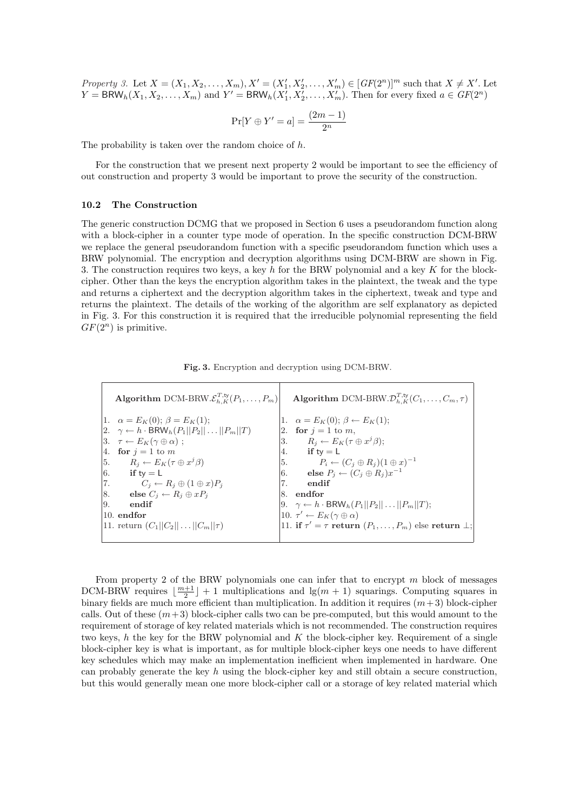Property 3. Let  $X = (X_1, X_2, ..., X_m), X' = (X'_1, X'_2, ..., X'_m) \in [GF(2^n)]^m$  such that  $X \neq X'$ . Let  $Y = BRW_h(X_1, X_2, \ldots, X_m)$  and  $Y' = BRW_h(X'_1, X'_2, \ldots, X'_m)$ . Then for every fixed  $a \in GF(2^n)$ 

$$
\Pr[Y \oplus Y' = a] = \frac{(2m - 1)}{2^n}
$$

The probability is taken over the random choice of h.

For the construction that we present next property 2 would be important to see the efficiency of out construction and property 3 would be important to prove the security of the construction.

### 10.2 The Construction

The generic construction DCMG that we proposed in Section 6 uses a pseudorandom function along with a block-cipher in a counter type mode of operation. In the specific construction DCM-BRW we replace the general pseudorandom function with a specific pseudorandom function which uses a BRW polynomial. The encryption and decryption algorithms using DCM-BRW are shown in Fig. 3. The construction requires two keys, a key h for the BRW polynomial and a key  $K$  for the blockcipher. Other than the keys the encryption algorithm takes in the plaintext, the tweak and the type and returns a ciphertext and the decryption algorithm takes in the ciphertext, tweak and type and returns the plaintext. The details of the working of the algorithm are self explanatory as depicted in Fig. 3. For this construction it is required that the irreducible polynomial representing the field  $GF(2^n)$  is primitive.

|  |  | Fig. 3. Encryption and decryption using DCM-BRW. |
|--|--|--------------------------------------------------|
|  |  |                                                  |

|     | Algorithm DCM-BRW. $\mathcal{E}_{h,K}^{T,\text{ty}}(P_1,\ldots,P_m)$   |    | Algorithm DCM-BRW. $\mathcal{D}_{h\ K}^{T,\text{ty}}(C_1,\ldots,C_m,\tau)$ |
|-----|------------------------------------------------------------------------|----|----------------------------------------------------------------------------|
|     | 1. $\alpha = E_K(0); \beta = E_K(1);$                                  |    | 1. $\alpha = E_K(0); \beta \leftarrow E_K(1);$                             |
|     | $ 2. \quad \gamma \leftarrow h \cdot BRW_h(P_1  P_2   \dots   P_m  T)$ |    | 2. for $i = 1$ to m,                                                       |
|     | $ 3. \quad \tau \leftarrow E_K(\gamma \oplus \alpha);$                 |    | 3. $R_i \leftarrow E_K(\tau \oplus x^j \beta);$                            |
|     | 4. for $j = 1$ to m                                                    | 4. | if ty $= L$                                                                |
|     | $\left 5. \quad R_j \leftarrow E_K(\tau \oplus x^j \beta)\right $      |    | $[5. \t P_i \leftarrow (C_j \oplus R_j)(1 \oplus x)^{-1}$                  |
|     | 6. if $ty = L$                                                         |    | 6. else $P_i \leftarrow (C_i \oplus R_i)x^{-1}$                            |
|     | 7. $C_j \leftarrow R_j \oplus (1 \oplus x) P_j$                        | 7. | endif                                                                      |
|     | 8. else $C_j \leftarrow R_j \oplus x P_j$                              |    | 8. endfor                                                                  |
| 19. | endif                                                                  |    | 9. $\gamma \leftarrow h \cdot \text{BRW}_h(P_1  P_2   \dots   P_m  T);$    |
|     | $ 10.$ endfor                                                          |    | 10. $\tau' \leftarrow E_K(\gamma \oplus \alpha)$                           |
|     | 11. return $(C_1  C_2    C_m  \tau)$                                   |    | 11. if $\tau' = \tau$ return $(P_1, \ldots, P_m)$ else return $\perp$ ;    |
|     |                                                                        |    |                                                                            |

From property 2 of the BRW polynomials one can infer that to encrypt m block of messages DCM-BRW requires  $\lfloor \frac{m+1}{2} \rfloor + 1$  multiplications and  $\lg(m + 1)$  squarings. Computing squares in binary fields are much more efficient than multiplication. In addition it requires  $(m+3)$  block-cipher calls. Out of these  $(m+3)$  block-cipher calls two can be pre-computed, but this would amount to the requirement of storage of key related materials which is not recommended. The construction requires two keys, h the key for the BRW polynomial and  $K$  the block-cipher key. Requirement of a single block-cipher key is what is important, as for multiple block-cipher keys one needs to have different key schedules which may make an implementation inefficient when implemented in hardware. One can probably generate the key h using the block-cipher key and still obtain a secure construction, but this would generally mean one more block-cipher call or a storage of key related material which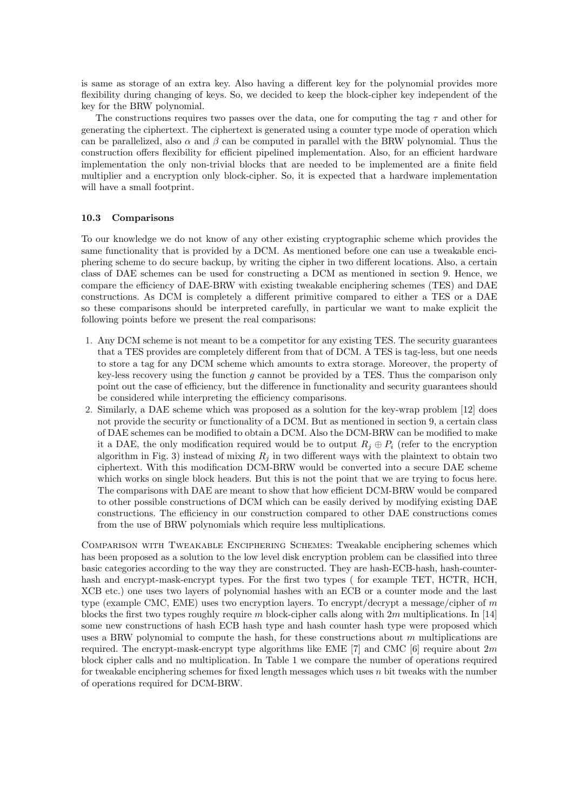is same as storage of an extra key. Also having a different key for the polynomial provides more flexibility during changing of keys. So, we decided to keep the block-cipher key independent of the key for the BRW polynomial.

The constructions requires two passes over the data, one for computing the tag  $\tau$  and other for generating the ciphertext. The ciphertext is generated using a counter type mode of operation which can be parallelized, also  $\alpha$  and  $\beta$  can be computed in parallel with the BRW polynomial. Thus the construction offers flexibility for efficient pipelined implementation. Also, for an efficient hardware implementation the only non-trivial blocks that are needed to be implemented are a finite field multiplier and a encryption only block-cipher. So, it is expected that a hardware implementation will have a small footprint.

### 10.3 Comparisons

To our knowledge we do not know of any other existing cryptographic scheme which provides the same functionality that is provided by a DCM. As mentioned before one can use a tweakable enciphering scheme to do secure backup, by writing the cipher in two different locations. Also, a certain class of DAE schemes can be used for constructing a DCM as mentioned in section 9. Hence, we compare the efficiency of DAE-BRW with existing tweakable enciphering schemes (TES) and DAE constructions. As DCM is completely a different primitive compared to either a TES or a DAE so these comparisons should be interpreted carefully, in particular we want to make explicit the following points before we present the real comparisons:

- 1. Any DCM scheme is not meant to be a competitor for any existing TES. The security guarantees that a TES provides are completely different from that of DCM. A TES is tag-less, but one needs to store a tag for any DCM scheme which amounts to extra storage. Moreover, the property of key-less recovery using the function q cannot be provided by a TES. Thus the comparison only point out the case of efficiency, but the difference in functionality and security guarantees should be considered while interpreting the efficiency comparisons.
- 2. Similarly, a DAE scheme which was proposed as a solution for the key-wrap problem [12] does not provide the security or functionality of a DCM. But as mentioned in section 9, a certain class of DAE schemes can be modified to obtain a DCM. Also the DCM-BRW can be modified to make it a DAE, the only modification required would be to output  $R_i \oplus P_i$  (refer to the encryption algorithm in Fig. 3) instead of mixing  $R_j$  in two different ways with the plaintext to obtain two ciphertext. With this modification DCM-BRW would be converted into a secure DAE scheme which works on single block headers. But this is not the point that we are trying to focus here. The comparisons with DAE are meant to show that how efficient DCM-BRW would be compared to other possible constructions of DCM which can be easily derived by modifying existing DAE constructions. The efficiency in our construction compared to other DAE constructions comes from the use of BRW polynomials which require less multiplications.

Comparison with Tweakable Enciphering Schemes: Tweakable enciphering schemes which has been proposed as a solution to the low level disk encryption problem can be classified into three basic categories according to the way they are constructed. They are hash-ECB-hash, hash-counterhash and encrypt-mask-encrypt types. For the first two types ( for example TET, HCTR, HCH, XCB etc.) one uses two layers of polynomial hashes with an ECB or a counter mode and the last type (example CMC, EME) uses two encryption layers. To encrypt/decrypt a message/cipher of m blocks the first two types roughly require m block-cipher calls along with  $2m$  multiplications. In [14] some new constructions of hash ECB hash type and hash counter hash type were proposed which uses a BRW polynomial to compute the hash, for these constructions about  $m$  multiplications are required. The encrypt-mask-encrypt type algorithms like EME [7] and CMC [6] require about  $2m$ block cipher calls and no multiplication. In Table 1 we compare the number of operations required for tweakable enciphering schemes for fixed length messages which uses  $n$  bit tweaks with the number of operations required for DCM-BRW.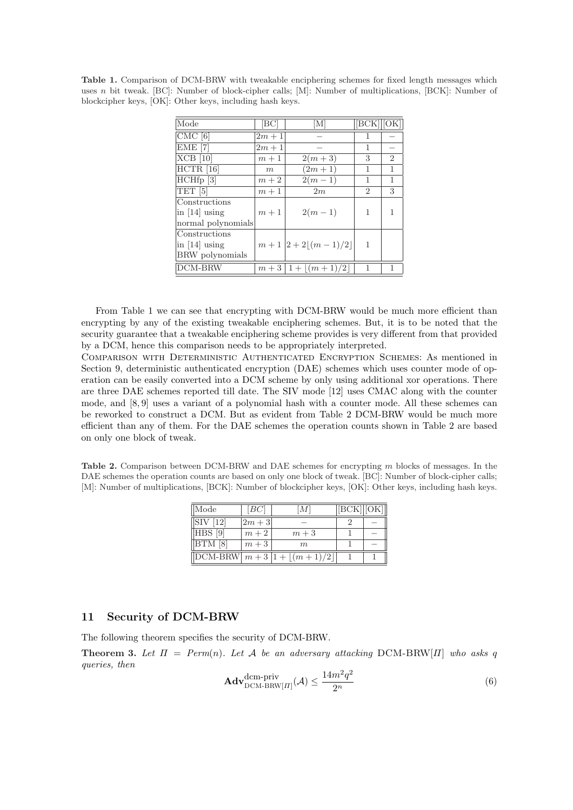Table 1. Comparison of DCM-BRW with tweakable enciphering schemes for fixed length messages which uses n bit tweak. [BC]: Number of block-cipher calls; [M]: Number of multiplications, [BCK]: Number of blockcipher keys, [OK]: Other keys, including hash keys.

| Mode                          | [BC]   | ſМ                 | $[BCK]$ $[OK]$ |                |
|-------------------------------|--------|--------------------|----------------|----------------|
| $CMC$ [6]                     | $2m+1$ |                    |                |                |
| $EME$ [7]                     | $2m+1$ |                    | 1              |                |
| $XCB$ [10]                    | $m+1$  | $2(m+3)$           | 3              | $\overline{2}$ |
| $\overline{\text{HCTR}}$ [16] | m      | $(2m + 1)$         | 1              | 1              |
| $HCHfp$ [3]                   | $m+2$  | $2(m-1)$           | 1              | 1              |
| TET <sup>[5]</sup>            | $m+1$  | 2m                 | $\overline{2}$ | 3              |
| Constructions                 |        |                    |                |                |
| in $[14]$ using               | $m+1$  | $2(m-1)$           | 1              |                |
| normal polynomials            |        |                    |                |                |
| Constructions                 |        |                    |                |                |
| in $[14]$ using               |        | $m+1 2+2 (m-1)/2 $ | 1              |                |
| BRW polynomials               |        |                    |                |                |
| DCM-BRW                       |        | $m+3 1+ (m+1)/2 $  |                |                |
|                               |        |                    |                |                |

From Table 1 we can see that encrypting with DCM-BRW would be much more efficient than encrypting by any of the existing tweakable enciphering schemes. But, it is to be noted that the security guarantee that a tweakable enciphering scheme provides is very different from that provided by a DCM, hence this comparison needs to be appropriately interpreted.

Comparison with Deterministic Authenticated Encryption Schemes: As mentioned in Section 9, deterministic authenticated encryption (DAE) schemes which uses counter mode of operation can be easily converted into a DCM scheme by only using additional xor operations. There are three DAE schemes reported till date. The SIV mode [12] uses CMAC along with the counter mode, and [8, 9] uses a variant of a polynomial hash with a counter mode. All these schemes can be reworked to construct a DCM. But as evident from Table 2 DCM-BRW would be much more efficient than any of them. For the DAE schemes the operation counts shown in Table 2 are based on only one block of tweak.

Table 2. Comparison between DCM-BRW and DAE schemes for encrypting m blocks of messages. In the DAE schemes the operation counts are based on only one block of tweak. [BC]: Number of block-cipher calls; [M]: Number of multiplications, [BCK]: Number of blockcipher keys, [OK]: Other keys, including hash keys.

| $\vert$ Mode                               | [BC]     | [M]                                                                                        | [BCK] [OK] |  |
|--------------------------------------------|----------|--------------------------------------------------------------------------------------------|------------|--|
| $\parallel$ SIV $\parallel$ 12 $\parallel$ | $ 2m+3 $ |                                                                                            |            |  |
| $HBS$ [9]                                  | $m+2$    | $m+3$                                                                                      |            |  |
| $BTM$ [8]                                  | $m+3$    | m                                                                                          |            |  |
|                                            |          | $\left  \overline{\text{DCM-BRW}} \right  m + 3 \left  1 + \left  (m+1)/2 \right  \right $ |            |  |

# 11 Security of DCM-BRW

The following theorem specifies the security of DCM-BRW.

**Theorem 3.** Let  $\Pi$  = Perm(n). Let A be an adversary attacking DCM-BRW[ $\Pi$ ] who asks q queries, then

$$
\mathbf{Adv}_{\mathrm{DCM-BRW}[H]}^{\mathrm{dem-priv}}(\mathcal{A}) \le \frac{14m^2q^2}{2^n} \tag{6}
$$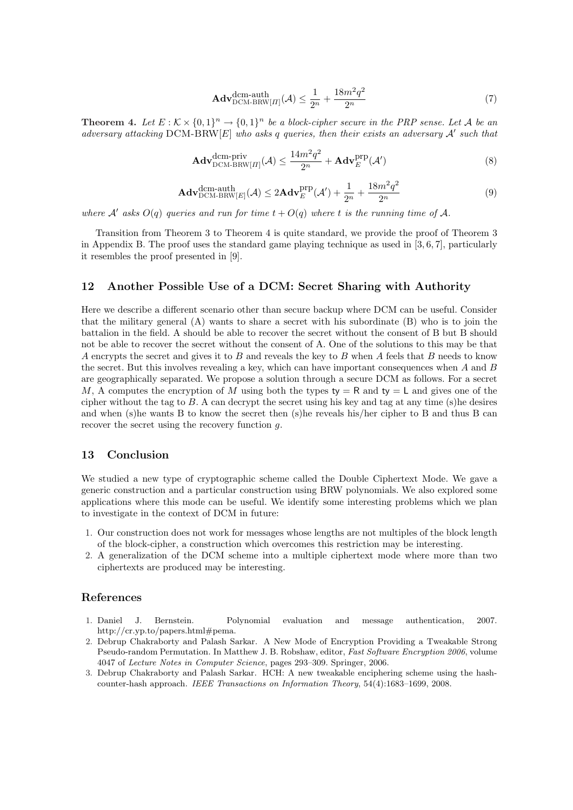$$
\mathbf{Adv}_{\mathrm{DCM-BRW}[II]}^{\mathrm{dem-auth}}(\mathcal{A}) \le \frac{1}{2^n} + \frac{18m^2q^2}{2^n} \tag{7}
$$

**Theorem 4.** Let  $E: K \times \{0,1\}^n \rightarrow \{0,1\}^n$  be a block-cipher secure in the PRP sense. Let A be an adversary attacking  $DCM$ - $BRW[E]$  who asks q queries, then their exists an adversary  $A'$  such that

$$
\mathbf{Adv}_{\mathrm{DCM-BRW}[H]}^{\mathrm{dem-priv}}(\mathcal{A}) \le \frac{14m^2q^2}{2^n} + \mathbf{Adv}_{E}^{\mathrm{prp}}(\mathcal{A}')
$$
(8)

$$
\mathbf{Adv}_{\mathrm{DCM-BRW}[E]}^{\mathrm{dem-auth}}(\mathcal{A}) \le 2\mathbf{Adv}_{E}^{\mathrm{prp}}(\mathcal{A}') + \frac{1}{2^n} + \frac{18m^2q^2}{2^n}
$$
(9)

where A' asks  $O(q)$  queries and run for time  $t + O(q)$  where t is the running time of A.

Transition from Theorem 3 to Theorem 4 is quite standard, we provide the proof of Theorem 3 in Appendix B. The proof uses the standard game playing technique as used in [3, 6, 7], particularly it resembles the proof presented in [9].

### 12 Another Possible Use of a DCM: Secret Sharing with Authority

Here we describe a different scenario other than secure backup where DCM can be useful. Consider that the military general (A) wants to share a secret with his subordinate (B) who is to join the battalion in the field. A should be able to recover the secret without the consent of B but B should not be able to recover the secret without the consent of A. One of the solutions to this may be that A encrypts the secret and gives it to B and reveals the key to B when A feels that B needs to know the secret. But this involves revealing a key, which can have important consequences when A and B are geographically separated. We propose a solution through a secure DCM as follows. For a secret M, A computes the encryption of M using both the types  $ty = R$  and  $ty = L$  and gives one of the cipher without the tag to  $B$ . A can decrypt the secret using his key and tag at any time (s)he desires and when (s)he wants B to know the secret then (s)he reveals his/her cipher to B and thus B can recover the secret using the recovery function g.

# 13 Conclusion

We studied a new type of cryptographic scheme called the Double Ciphertext Mode. We gave a generic construction and a particular construction using BRW polynomials. We also explored some applications where this mode can be useful. We identify some interesting problems which we plan to investigate in the context of DCM in future:

- 1. Our construction does not work for messages whose lengths are not multiples of the block length of the block-cipher, a construction which overcomes this restriction may be interesting.
- 2. A generalization of the DCM scheme into a multiple ciphertext mode where more than two ciphertexts are produced may be interesting.

### References

- 1. Daniel J. Bernstein. Polynomial evaluation and message authentication, 2007. http://cr.yp.to/papers.html#pema.
- 2. Debrup Chakraborty and Palash Sarkar. A New Mode of Encryption Providing a Tweakable Strong Pseudo-random Permutation. In Matthew J. B. Robshaw, editor, Fast Software Encryption 2006, volume 4047 of Lecture Notes in Computer Science, pages 293–309. Springer, 2006.
- 3. Debrup Chakraborty and Palash Sarkar. HCH: A new tweakable enciphering scheme using the hashcounter-hash approach. IEEE Transactions on Information Theory, 54(4):1683–1699, 2008.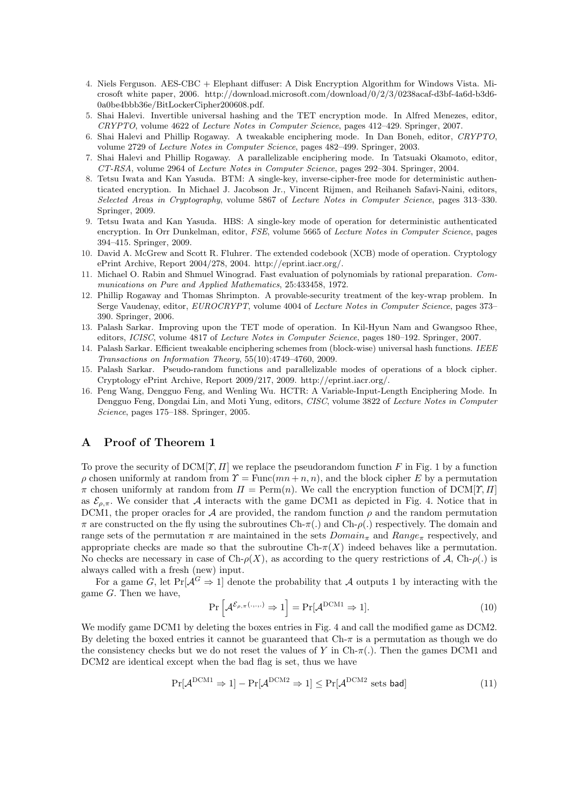- 4. Niels Ferguson. AES-CBC + Elephant diffuser: A Disk Encryption Algorithm for Windows Vista. Microsoft white paper, 2006. http://download.microsoft.com/download/0/2/3/0238acaf-d3bf-4a6d-b3d6- 0a0be4bbb36e/BitLockerCipher200608.pdf.
- 5. Shai Halevi. Invertible universal hashing and the TET encryption mode. In Alfred Menezes, editor, CRYPTO, volume 4622 of Lecture Notes in Computer Science, pages 412–429. Springer, 2007.
- 6. Shai Halevi and Phillip Rogaway. A tweakable enciphering mode. In Dan Boneh, editor, CRYPTO, volume 2729 of Lecture Notes in Computer Science, pages 482–499. Springer, 2003.
- 7. Shai Halevi and Phillip Rogaway. A parallelizable enciphering mode. In Tatsuaki Okamoto, editor, CT-RSA, volume 2964 of Lecture Notes in Computer Science, pages 292–304. Springer, 2004.
- 8. Tetsu Iwata and Kan Yasuda. BTM: A single-key, inverse-cipher-free mode for deterministic authenticated encryption. In Michael J. Jacobson Jr., Vincent Rijmen, and Reihaneh Safavi-Naini, editors, Selected Areas in Cryptography, volume 5867 of Lecture Notes in Computer Science, pages 313–330. Springer, 2009.
- 9. Tetsu Iwata and Kan Yasuda. HBS: A single-key mode of operation for deterministic authenticated encryption. In Orr Dunkelman, editor, FSE, volume 5665 of Lecture Notes in Computer Science, pages 394–415. Springer, 2009.
- 10. David A. McGrew and Scott R. Fluhrer. The extended codebook (XCB) mode of operation. Cryptology ePrint Archive, Report 2004/278, 2004. http://eprint.iacr.org/.
- 11. Michael O. Rabin and Shmuel Winograd. Fast evaluation of polynomials by rational preparation. Communications on Pure and Applied Mathematics, 25:433458, 1972.
- 12. Phillip Rogaway and Thomas Shrimpton. A provable-security treatment of the key-wrap problem. In Serge Vaudenay, editor, EUROCRYPT, volume 4004 of Lecture Notes in Computer Science, pages 373-390. Springer, 2006.
- 13. Palash Sarkar. Improving upon the TET mode of operation. In Kil-Hyun Nam and Gwangsoo Rhee, editors, ICISC, volume 4817 of Lecture Notes in Computer Science, pages 180–192. Springer, 2007.
- 14. Palash Sarkar. Efficient tweakable enciphering schemes from (block-wise) universal hash functions. IEEE Transactions on Information Theory, 55(10):4749–4760, 2009.
- 15. Palash Sarkar. Pseudo-random functions and parallelizable modes of operations of a block cipher. Cryptology ePrint Archive, Report 2009/217, 2009. http://eprint.iacr.org/.
- 16. Peng Wang, Dengguo Feng, and Wenling Wu. HCTR: A Variable-Input-Length Enciphering Mode. In Dengguo Feng, Dongdai Lin, and Moti Yung, editors, CISC, volume 3822 of Lecture Notes in Computer Science, pages 175–188. Springer, 2005.

# A Proof of Theorem 1

To prove the security of  $DCM[T, II]$  we replace the pseudorandom function F in Fig. 1 by a function  $ρ$  chosen uniformly at random from  $\gamma = \text{Func}(mn + n, n)$ , and the block cipher E by a permutation  $\pi$  chosen uniformly at random from  $\Pi = \text{Perm}(n)$ . We call the encryption function of DCM[ $\Upsilon$ ,  $\Pi$ ] as  $\mathcal{E}_{\rho,\pi}$ . We consider that A interacts with the game DCM1 as depicted in Fig. 4. Notice that in DCM1, the proper oracles for A are provided, the random function  $\rho$  and the random permutation  $\pi$  are constructed on the fly using the subroutines Ch- $\pi$ (.) and Ch- $\rho$ (.) respectively. The domain and range sets of the permutation  $\pi$  are maintained in the sets  $Domain_{\pi}$  and  $Range_{\pi}$  respectively, and appropriate checks are made so that the subroutine  $Ch_{\tau}(X)$  indeed behaves like a permutation. No checks are necessary in case of  $Ch$ - $\rho(X)$ , as according to the query restrictions of A,  $Ch$ - $\rho(.)$  is always called with a fresh (new) input.

For a game G, let  $Pr[\mathcal{A}^G \Rightarrow 1]$  denote the probability that A outputs 1 by interacting with the game  $G$ . Then we have, i

$$
\Pr\left[\mathcal{A}^{\mathcal{E}_{\rho,\pi}(\ldots,\ldots)} \Rightarrow 1\right] = \Pr[\mathcal{A}^{\text{DCM1}} \Rightarrow 1].\tag{10}
$$

We modify game DCM1 by deleting the boxes entries in Fig. 4 and call the modified game as DCM2. By deleting the boxed entries it cannot be guaranteed that  $Ch-\pi$  is a permutation as though we do the consistency checks but we do not reset the values of Y in Ch- $\pi$ . Then the games DCM1 and DCM2 are identical except when the bad flag is set, thus we have

$$
\Pr[\mathcal{A}^{\text{DCM1}} \Rightarrow 1] - \Pr[\mathcal{A}^{\text{DCM2}} \Rightarrow 1] \le \Pr[\mathcal{A}^{\text{DCM2}} \text{ sets bad}] \tag{11}
$$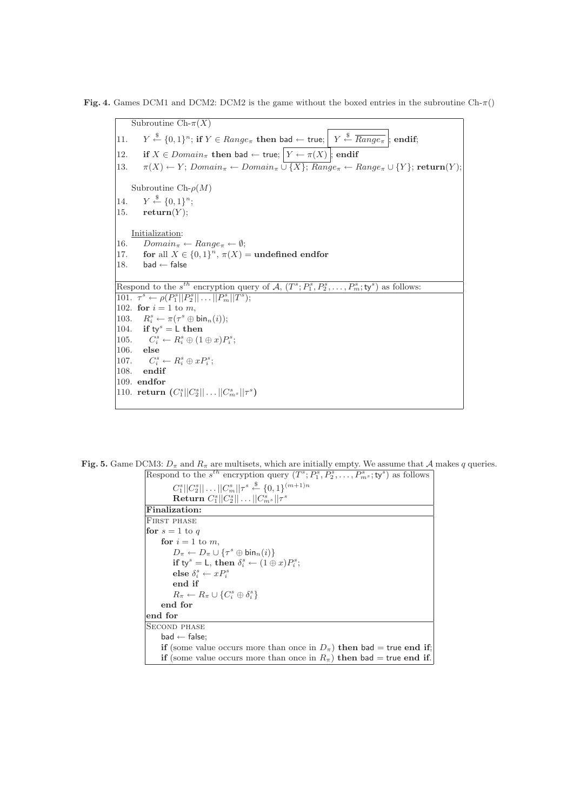Fig. 4. Games DCM1 and DCM2: DCM2 is the game without the boxed entries in the subroutine  $\text{Ch-}\pi()$ 

Subroutine  $\overline{\text{Ch-}\pi(X)}$  $|11$ .  $\stackrel{\$}{\leftarrow} \{0,1\}^n$ ; if  $Y \in Range_\pi$  then bad  $\leftarrow$  true;  $\left| Y \stackrel{\$}{\leftarrow} \overline{Range_\pi} \right|$ ; endif; 12. if  $X \in Domain_{\pi}$  then bad  $\leftarrow$  true;  $\boxed{Y \leftarrow \pi(X)}$ ; endif 13.  $\pi(X) \leftarrow Y$ ;  $Domain_{\pi} \leftarrow Domain_{\pi} \cup \{X\}$ ;  $Range_{\pi} \leftarrow Range_{\pi} \cup \{Y\}$ ; return(Y); Subroutine Ch- $\rho(M)$ 14.  $\stackrel{\$}{\leftarrow} \{0,1\}^n;$ 15.  $return(Y);$ Initialization: 16.  $Domain_{\pi} \leftarrow Range_{\pi} \leftarrow \emptyset;$ 17. for all  $X \in \{0,1\}^n$ ,  $\pi(X) =$  undefined endfor 18. bad  $\leftarrow$  false Respond to the  $s^{th}$  encryption query of  $\mathcal{A}, (T^s; P_1^s, P_2^s, \ldots, P_m^s; ty^s)$  as follows: 101.  $\tau^s \leftarrow \rho(P_1^s || P_2^s || \dots || P_m^s || T^s);$ 102. for  $i = 1$  to m, 103.  $R_i^s \leftarrow \pi(\tau^s \oplus \text{bin}_n(i));$ 104. if  $ty^s = L$  then 105.  $R_i^s \leftarrow R_i^s \oplus (1 \oplus x) P_i^s;$ 106. else 107.  $a_i^s \leftarrow R_i^s \oplus x P_i^s;$ 108. endif 109. endfor 110. return  $(C_1^s || C_2^s || \dots || C_{m^s}^s || \tau^s)$ 

Fig. 5. Game DCM3:  $D_{\pi}$  and  $R_{\pi}$  are multisets, which are initially empty. We assume that A makes q queries.

| Respond to the $s^{th}$ encryption query $(T^s; P_1^s, P_2^s, \ldots, P_m^s; ty^s)$ as follows |
|------------------------------------------------------------------------------------------------|
| $C_1^s  C_2^s   \dots   C_m^s  \tau^s \stackrel{\$}{\leftarrow} \{0,1\}^{(m+1)n}$              |
| <b>Return</b> $C_1^s  C_2^s   \dots   C_m^s  \tau^s$                                           |
| Finalization:                                                                                  |
| <b>FIRST PHASE</b>                                                                             |
| for $s=1$ to q                                                                                 |
| for $i=1$ to m.                                                                                |
| $D_{\pi} \leftarrow D_{\pi} \cup {\{\tau^s \oplus \text{bin}_n(i)\}}$                          |
| if ty <sup>s</sup> = L, then $\delta_i^s \leftarrow (1 \oplus x) P_i^s$ ;                      |
| else $\delta_i^s \leftarrow x P_i^s$                                                           |
| end if                                                                                         |
| $R_{\pi} \leftarrow R_{\pi} \cup \{C_i^s \oplus \delta_i^s\}$                                  |
| end for                                                                                        |
| end for                                                                                        |
| <b>SECOND PHASE</b>                                                                            |
| $bad \leftarrow false$                                                                         |
| if (some value occurs more than once in $D_{\pi}$ ) then bad = true end if;                    |
| if (some value occurs more than once in $R_{\pi}$ ) then bad = true end if.                    |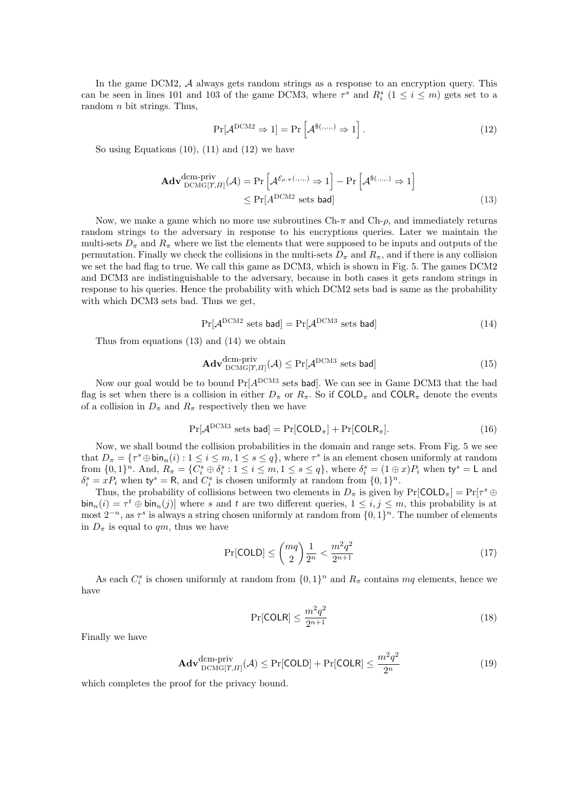In the game DCM2, A always gets random strings as a response to an encryption query. This can be seen in lines 101 and 103 of the game DCM3, where  $\tau^s$  and  $R_i^s$  ( $1 \le i \le m$ ) gets set to a random n bit strings. Thus,

$$
\Pr[\mathcal{A}^{\text{DCM2}} \Rightarrow 1] = \Pr\left[\mathcal{A}^{\$(\dots,\cdot)} \Rightarrow 1\right].\tag{12}
$$

So using Equations  $(10)$ ,  $(11)$  and  $(12)$  we have

$$
\mathbf{Adv}_{\mathrm{DCMG}[T,II]}^{\mathrm{dem-priv}}(\mathcal{A}) = \Pr\left[\mathcal{A}^{\mathcal{E}_{\rho,\pi}(\ldots,\ldots)} \Rightarrow 1\right] - \Pr\left[\mathcal{A}^{\$(\ldots,\ldots)} \Rightarrow 1\right]
$$
  
\$\leq \Pr[A^{\mathrm{DCM2}}\$ sets bad] \n(13)

Now, we make a game which no more use subroutines  $Ch$ -π and  $Ch$ -ρ, and immediately returns random strings to the adversary in response to his encryptions queries. Later we maintain the multi-sets  $D_{\pi}$  and  $R_{\pi}$  where we list the elements that were supposed to be inputs and outputs of the permutation. Finally we check the collisions in the multi-sets  $D_{\pi}$  and  $R_{\pi}$ , and if there is any collision we set the bad flag to true. We call this game as DCM3, which is shown in Fig. 5. The games DCM2 and DCM3 are indistinguishable to the adversary, because in both cases it gets random strings in response to his queries. Hence the probability with which DCM2 sets bad is same as the probability with which DCM3 sets bad. Thus we get,

$$
Pr[\mathcal{A}^{DCM2} \text{ sets bad}] = Pr[\mathcal{A}^{DCM3} \text{ sets bad}]
$$
 (14)

Thus from equations (13) and (14) we obtain

$$
\mathbf{Adv}_{\mathrm{DCMG}[\Upsilon,\Pi]}^{\mathrm{dem-priv}}(\mathcal{A}) \le \Pr[\mathcal{A}^{\mathrm{DCM3}} \text{ sets bad}] \tag{15}
$$

Now our goal would be to bound  $Pr[A^{DCM3} ]$  sets bad]. We can see in Game DCM3 that the bad flag is set when there is a collision in either  $D_{\pi}$  or  $R_{\pi}$ . So if COLD<sub> $\pi$ </sub> and COLR<sub> $\pi$ </sub> denote the events of a collision in  $D_{\pi}$  and  $R_{\pi}$  respectively then we have

$$
Pr[\mathcal{A}^{DCM3} \text{ sets bad}] = Pr[COLD_{\pi}] + Pr[COLR_{\pi}]. \tag{16}
$$

Now, we shall bound the collision probabilities in the domain and range sets. From Fig. 5 we see that  $D_{\pi} = \{\tau^s \oplus \text{bin}_n(i) : 1 \leq i \leq m, 1 \leq s \leq q\}$ , where  $\tau^s$  is an element chosen uniformly at random from  $\{0,1\}^n$ . And,  $R_{\pi} = \{C_i^s \oplus \delta_i^s : 1 \leq i \leq m, 1 \leq s \leq q\}$ , where  $\delta_i^s = (1 \oplus x)P_i$  when  $\mathsf{ty}^s = \mathsf{L}$  and  $\delta_i^s = x P_i$  when  $\mathsf{ty}^s = \mathsf{R}$ , and  $C_i^s$  is chosen uniformly at random from  $\{0,1\}^n$ .

Thus, the probability of collisions between two elements in  $D_{\pi}$  is given by  $Pr[COLD_{\pi}] = Pr[\tau^s \oplus$  $\sin_n(i) = \tau^t \oplus \sin_n(j)$  where s and t are two different queries,  $1 \leq i, j \leq m$ , this probability is at most  $2^{-n}$ , as  $\tau^s$  is always a string chosen uniformly at random from  $\{0, 1\}^n$ . The number of elements in  $D_{\pi}$  is equal to qm, thus we have

$$
\Pr[\text{COLD}] \le \binom{mq}{2} \frac{1}{2^n} < \frac{m^2 q^2}{2^{n+1}} \tag{17}
$$

As each  $C_i^s$  is chosen uniformly at random from  $\{0,1\}^n$  and  $R_\pi$  contains  $mq$  elements, hence we have

$$
\Pr[\text{COLR}] \le \frac{m^2 q^2}{2^{n+1}}\tag{18}
$$

Finally we have

$$
\mathbf{Adv}_{\mathrm{DCMG}[T,T]}^{\mathrm{dem-priv}}(\mathcal{A}) \le \Pr[\mathrm{COLD}] + \Pr[\mathrm{COLR}] \le \frac{m^2 q^2}{2^n} \tag{19}
$$

which completes the proof for the privacy bound.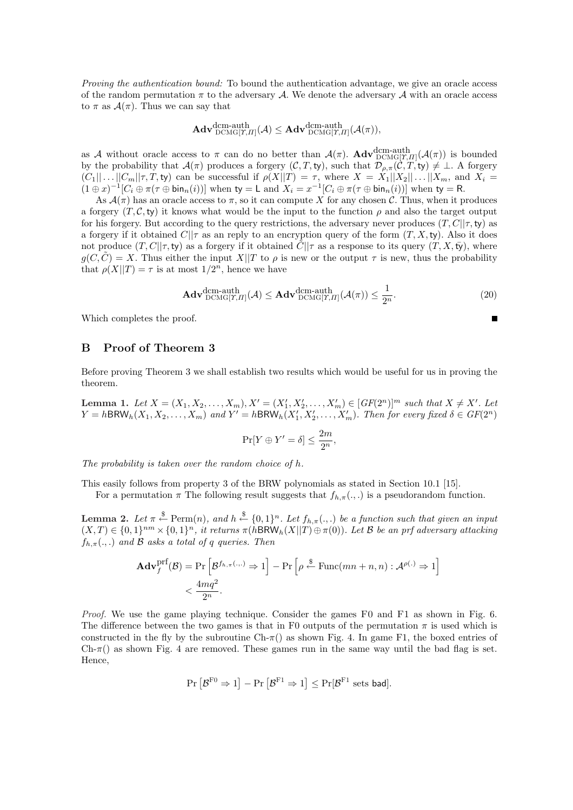Proving the authentication bound: To bound the authentication advantage, we give an oracle access of the random permutation  $\pi$  to the adversary A. We denote the adversary A with an oracle access to  $\pi$  as  $\mathcal{A}(\pi)$ . Thus we can say that

$$
\mathbf{Adv}^{\mathrm{dcm-auth}}_{\mathrm{DCMG}[\varUpsilon, \varPi]}(\mathcal{A}) \leq \mathbf{Adv}^{\mathrm{dcm-auth}}_{\mathrm{DCMG}[\varUpsilon, \varPi]}(\mathcal{A}(\pi)),
$$

as A without oracle access to  $\pi$  can do no better than  $\mathcal{A}(\pi)$ .  $\text{Adv}_{\text{DCMG}[\gamma,\Pi]}^{\text{dem-auth}}(\mathcal{A}(\pi))$  is bounded by the probability that  $\mathcal{A}(\pi)$  produces a forgery  $(\mathcal{C}, T, \mathsf{t}\mathsf{y})$ , such that  $\mathcal{D}_{\rho,\pi}(\mathcal{C}, T, \mathsf{t}\mathsf{y}) \neq \bot$ . A forgery  $(C_1||...||C_m||\tau,T,$  ty) can be successful if  $\rho(X||T) = \tau$ , where  $X = X_1||X_2||...||X_m$ , and  $X_i =$  $(1 \oplus x)^{-1}[C_i \oplus \pi(\tau \oplus \text{bin}_n(i))]$  when  $ty = L$  and  $X_i = x^{-1}[C_i \oplus \pi(\tau \oplus \text{bin}_n(i))]$  when  $ty = R$ .

As  $\mathcal{A}(\pi)$  has an oracle access to  $\pi$ , so it can compute X for any chosen C. Thus, when it produces a forgery  $(T, \mathcal{C}, \mathsf{ty})$  it knows what would be the input to the function  $\rho$  and also the target output for his forgery. But according to the query restrictions, the adversary never produces  $(T, C||\tau, \mathbf{ty})$  as a forgery if it obtained  $C||\tau$  as an reply to an encryption query of the form  $(T, X, t)$ . Also it does not produce  $(T, C||\tau, t)$  as a forgery if it obtained  $\tilde{C}||\tau$  as a response to its query  $(T, X, t)$ , where  $g(C, \tilde{C}) = X$ . Thus either the input  $X||T$  to  $\rho$  is new or the output  $\tau$  is new, thus the probability that  $\rho(X||T) = \tau$  is at most  $1/2^n$ , hence we have

$$
\mathbf{Adv}_{\mathrm{DCMG}[T,T]}^{\mathrm{dem-auth}}(\mathcal{A}) \leq \mathbf{Adv}_{\mathrm{DCMG}[T,T]}^{\mathrm{dem-auth}}(\mathcal{A}(\pi)) \leq \frac{1}{2^n}.
$$
 (20)

 $\blacksquare$ 

Which completes the proof.

# B Proof of Theorem 3

Before proving Theorem 3 we shall establish two results which would be useful for us in proving the theorem.

**Lemma 1.** Let  $X = (X_1, X_2, \ldots, X_m), X' = (X'_1, X'_2, \ldots, X'_m) \in [GF(2^n)]^m$  such that  $X \neq X'$ . Let  $Y = h\textsf{BRW}_h(X_1, X_2, \ldots, X_m)$  and  $Y' = h\textsf{BRW}_h(X_1', X_2', \ldots, X_m')$ . Then for every fixed  $\delta \in GF(2^n)$ 

$$
\Pr[Y \oplus Y' = \delta] \le \frac{2m}{2^n},
$$

The probability is taken over the random choice of h.

This easily follows from property 3 of the BRW polynomials as stated in Section 10.1 [15].

For a permutation  $\pi$  The following result suggests that  $f_{h,\pi}(\cdot, \cdot)$  is a pseudorandom function.

**Lemma 2.** Let  $\pi \stackrel{\$}{\leftarrow} \text{Perm}(n)$ , and  $h \stackrel{\$}{\leftarrow} \{0,1\}^n$ . Let  $f_{h,\pi}(.,.)$  be a function such that given an input  $(X,T) \in \{0,1\}^{nm} \times \{0,1\}^n$ , it returns  $\pi(h\text{BRW}_h(X||T) \oplus \pi(0))$ . Let B be an prf adversary attacking  $f_{h,\pi}(.,.)$  and B asks a total of q queries. Then

$$
\mathbf{Adv}_{f}^{\mathrm{prf}}(\mathcal{B}) = \Pr\left[\mathcal{B}^{f_{h,\pi}(\dots)} \Rightarrow 1\right] - \Pr\left[\rho \stackrel{\$}{\leftarrow} \mathrm{Func}(mn+n, n) : \mathcal{A}^{\rho(\cdot)} \Rightarrow 1\right] < \frac{4mq^2}{2^n}.
$$

Proof. We use the game playing technique. Consider the games F0 and F1 as shown in Fig. 6. The difference between the two games is that in F0 outputs of the permutation  $\pi$  is used which is constructed in the fly by the subroutine Ch- $\pi$ () as shown Fig. 4. In game F1, the boxed entries of  $Ch-\pi$ ) as shown Fig. 4 are removed. These games run in the same way until the bad flag is set. Hence,

$$
\Pr\left[\mathcal{B}^{\mathrm{F0}} \Rightarrow 1\right] - \Pr\left[\mathcal{B}^{\mathrm{F1}} \Rightarrow 1\right] \le \Pr[\mathcal{B}^{\mathrm{F1}} \text{ sets bad}].
$$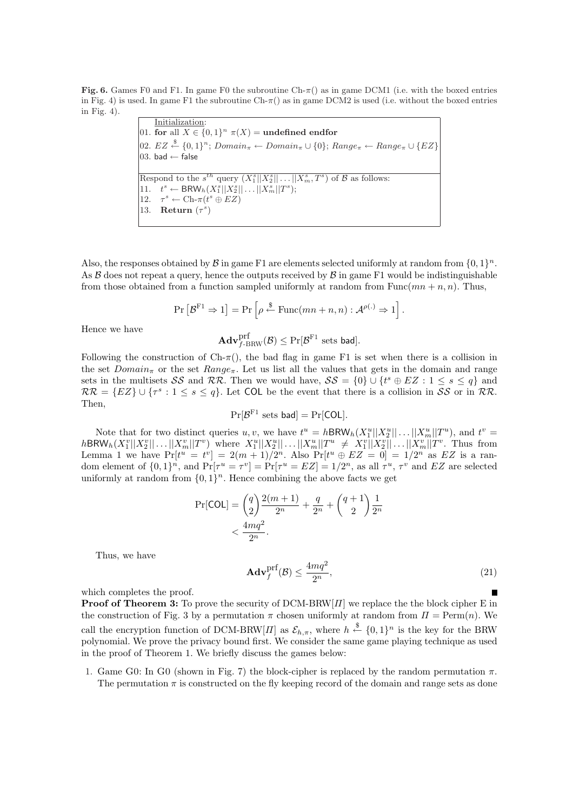Fig. 6. Games F0 and F1. In game F0 the subroutine  $\text{Ch-}\pi()$  as in game DCM1 (i.e. with the boxed entries in Fig. 4) is used. In game F1 the subroutine  $\text{Ch-}\pi()$  as in game DCM2 is used (i.e. without the boxed entries in Fig. 4).

Initialization: 01. for all  $X \in \{0,1\}^n$   $\pi(X) =$  undefined endfor 02. EZ  $\stackrel{\$}{\leftarrow}$  {0,1}<sup>n</sup>; Domain<sub>π</sub> ← Domain<sub>π</sub> ∪ {0}; Range<sub>π</sub> ← Range<sub>π</sub> ∪ {EZ} 03. bad  $\leftarrow$  false Respond to the  $s^{th}$  query  $(X_1^s||X_2^s||...||X_m^s, T^s)$  of  $\mathcal B$  as follows: 11.  $t^s \leftarrow \text{BRW}_h(X_1^s || X_2^s || \dots || X_m^s || T^s);$ 12.  $\tau^s \leftarrow \text{Ch-}\pi(t^s \oplus EZ)$ 13. **Return**  $(\tau^s)$ 

Also, the responses obtained by  $\mathcal B$  in game F1 are elements selected uniformly at random from  $\{0,1\}^n$ . As  $\beta$  does not repeat a query, hence the outputs received by  $\beta$  in game F1 would be indistinguishable from those obtained from a function sampled uniformly at random from Func $(mn + n, n)$ . Thus,

$$
\Pr\left[\mathcal{B}^{\mathrm{F1}} \Rightarrow 1\right] = \Pr\left[\rho \stackrel{\$}{\leftarrow} \mathrm{Func}(mn+n, n) : \mathcal{A}^{\rho(.)} \Rightarrow 1\right].
$$

Hence we have

$$
\mathbf{Adv}_{f\text{-BRW}}^{\text{prf}}(\mathcal{B}) \leq \Pr[\mathcal{B}^{\text{F1}} \text{ sets bad}].
$$

Following the construction of  $Ch-\pi$ ), the bad flag in game F1 is set when there is a collision in the set  $Domain_{\pi}$  or the set  $Range_{\pi}$ . Let us list all the values that gets in the domain and range sets in the multisets SS and RR. Then we would have,  $\mathcal{SS} = \{0\} \cup \{t^s \oplus EZ : 1 \leq s \leq q\}$  and  $RR = \{EZ\} \cup \{\tau^s : 1 \leq s \leq q\}$ . Let COL be the event that there is a collision in SS or in RR. Then,

$$
Pr[\mathcal{B}^{F1} \text{ sets bad}] = Pr[COL].
$$

Note that for two distinct queries u, v, we have  $t^u = hBRW_h(X_1^u||X_2^u|| \dots ||X_m^u||T^u)$ , and  $t^v =$  $h{\sf BRW}_h(X_1^v||X_2^v||\dots||X_m^v||T^v)$  where  $X_1^u||X_2^u||\dots||X_m^u||T^u \neq X_1^v||X_2^v||\dots||X_m^v||T^v$ . Thus from Lemma 1 we have  $Pr[t^u = t^v] = 2(m+1)/2^n$ . Also  $Pr[t^u \oplus EZ = 0] = 1/2^n$  as EZ is a random element of  $\{0,1\}^n$ , and  $\Pr[\tau^u = \tau^v] = \Pr[\tau^u = EZ] = 1/2^n$ , as all  $\tau^u$ ,  $\tau^v$  and EZ are selected uniformly at random from  $\{0,1\}^n$ . Hence combining the above facts we get

$$
\Pr[\text{COL}] = \binom{q}{2} \frac{2(m+1)}{2^n} + \frac{q}{2^n} + \binom{q+1}{2} \frac{1}{2^n}
$$

$$
< \frac{4mq^2}{2^n}.
$$

Thus, we have

$$
\mathbf{Adv}_{f}^{\text{prf}}(\mathcal{B}) \le \frac{4mq^2}{2^n},\tag{21}
$$

which completes the proof.

**Proof of Theorem 3:** To prove the security of DCM-BRW[ $\Pi$ ] we replace the the block cipher E in the construction of Fig. 3 by a permutation  $\pi$  chosen uniformly at random from  $\Pi = \text{Perm}(n)$ . We call the encryption function of DCM-BRW $[H]$  as  $\mathcal{E}_{h,\pi}$ , where  $h \stackrel{\$}{\leftarrow} \{0,1\}^n$  is the key for the BRW polynomial. We prove the privacy bound first. We consider the same game playing technique as used in the proof of Theorem 1. We briefly discuss the games below:

1. Game G0: In G0 (shown in Fig. 7) the block-cipher is replaced by the random permutation  $\pi$ . The permutation  $\pi$  is constructed on the fly keeping record of the domain and range sets as done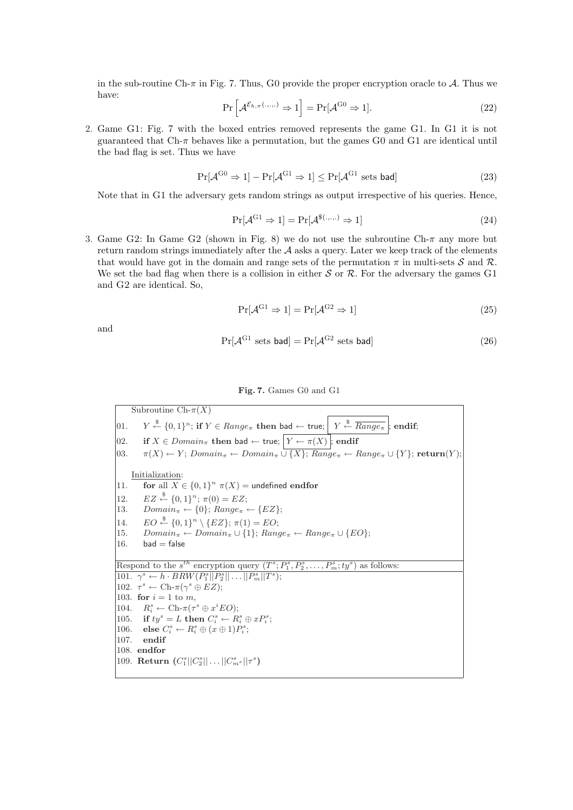in the sub-routine Ch- $\pi$  in Fig. 7. Thus, G0 provide the proper encryption oracle to A. Thus we have: i

$$
\Pr\left[\mathcal{A}^{\mathcal{E}_{h,\pi}(\ldots,\ldots)} \Rightarrow 1\right] = \Pr[\mathcal{A}^{\mathrm{G0}} \Rightarrow 1].\tag{22}
$$

2. Game G1: Fig. 7 with the boxed entries removed represents the game G1. In G1 it is not guaranteed that Ch-π behaves like a permutation, but the games G0 and G1 are identical until the bad flag is set. Thus we have

$$
\Pr[\mathcal{A}^{\mathrm{G0}} \Rightarrow 1] - \Pr[\mathcal{A}^{\mathrm{G1}} \Rightarrow 1] \le \Pr[\mathcal{A}^{\mathrm{G1}} \text{ sets bad}] \tag{23}
$$

Note that in G1 the adversary gets random strings as output irrespective of his queries. Hence,

$$
\Pr[\mathcal{A}^{\mathrm{G1}} \Rightarrow 1] = \Pr[\mathcal{A}^{\$(\cdot,\cdot,\cdot)} \Rightarrow 1] \tag{24}
$$

3. Game G2: In Game G2 (shown in Fig. 8) we do not use the subroutine Ch- $\pi$  any more but return random strings immediately after the  $A$  asks a query. Later we keep track of the elements that would have got in the domain and range sets of the permutation  $\pi$  in multi-sets S and R. We set the bad flag when there is a collision in either  $S$  or  $R$ . For the adversary the games G1 and G2 are identical. So,

$$
\Pr[\mathcal{A}^{\mathrm{G1}} \Rightarrow 1] = \Pr[\mathcal{A}^{\mathrm{G2}} \Rightarrow 1] \tag{25}
$$

and

$$
Pr[\mathcal{A}^{G1} \text{ sets bad}] = Pr[\mathcal{A}^{G2} \text{ sets bad}]
$$
\n(26)

#### Fig. 7. Games G0 and G1

Subroutine  $\text{Ch-}\pi(X)$  $|01.$  $\stackrel{\$}{\leftarrow} \{0,1\}^n$ ; if  $Y \in Range_\pi$  then bad  $\leftarrow$  true;  $\left| Y \stackrel{\$}{\leftarrow} \overline{Range_\pi} \right|$ ; endif;  $|02.$  if *X* ∈ *Domain*<sup>π</sup> then bad ← true;  $Y \leftarrow \pi(X)$ ; endif  $[03. \quad \pi(X) \leftarrow Y; Domain_{\pi} \leftarrow Domain_{\pi} \cup \{X\}; Range_{\pi} \leftarrow Range_{\pi} \cup \{Y\};$  return $(Y);$ Initialization: 11. for all  $X \in \{0,1\}^n$   $\pi(X)$  = undefined endfor 12.  $EZ \stackrel{\$}{\leftarrow} \{0,1\}^n; \pi(0) = EZ;$ 13.  $Domain_{\pi} \leftarrow \{0\}; Range_{\pi} \leftarrow \{EZ\};$ 14.  $EO \stackrel{\$}{\leftarrow} \{0,1\}^n \setminus \{EZ\}; \pi(1) = EO;$ 15.  $Domain_{\pi} \leftarrow Domain_{\pi} \cup \{1\}; Range_{\pi} \leftarrow Range_{\pi} \cup \{EO\};$ 16. bad  $=$  false Respond to the  $s^{th}$  encryption query  $(T^s; P_1^s, P_2^s, \ldots, P_m^s; ty^s)$  as follows: 101.  $\gamma^s \leftarrow h \cdot BRW(P_1^s || P_2^s || \dots || P_m^s || T^s);$ 102.  $\tau^s \leftarrow \text{Ch-}\pi(\gamma^s \oplus EZ);$ 103. for  $i = 1$  to m. 104.  $R_i^s \leftarrow \text{Ch-}\pi(\tau^s \oplus x^i EO);$ 105. if  $ty^s = L$  then  $C_i^s \leftarrow R_i^s \oplus xP_i^s$ ; 106. else  $C_i^s \leftarrow R_i^s \oplus (x \oplus 1)P_i^s;$ 107. endif 108. endfor 109. **Return**  $(C_1^s || C_2^s || \dots || C_m^s || \tau^s)$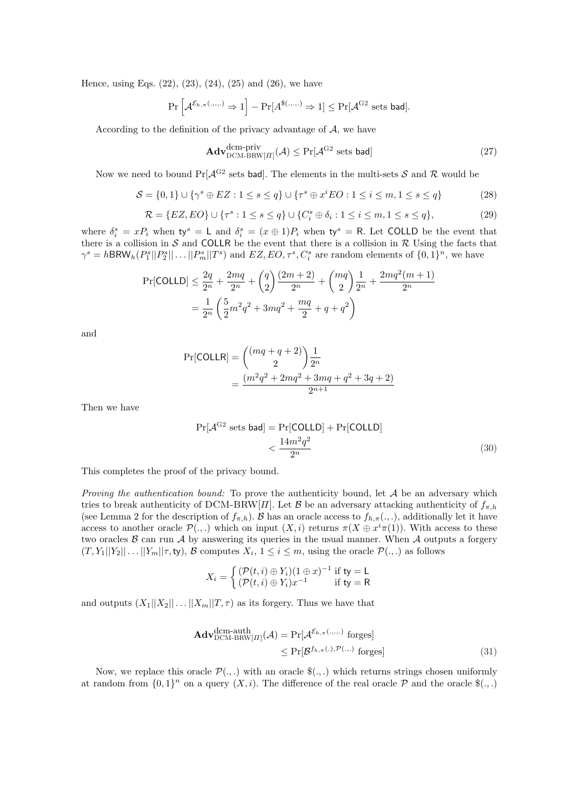Hence, using Eqs. (22), (23), (24), (25) and (26), we have

$$
\Pr\left[\mathcal{A}^{\mathcal{E}_{h,\pi}(.,.,.)}\Rightarrow 1\right]-\Pr[A^{\$(.,.,.)}\Rightarrow 1]\le \Pr[\mathcal{A}^{\mathrm{G2}}\text{ sets bad}].
$$

According to the definition of the privacy advantage of  $A$ , we have

$$
\mathbf{Adv}_{\mathrm{DCM-BRW}[II]}^{\mathrm{dem-priv}}(\mathcal{A}) \le \Pr[\mathcal{A}^{\mathrm{G2}} \text{ sets bad}]
$$
\n(27)

Now we need to bound  $Pr[\mathcal{A}^{G2}]$  sets bad. The elements in the multi-sets S and R would be

$$
S = \{0, 1\} \cup \{\gamma^s \oplus EZ : 1 \le s \le q\} \cup \{\tau^s \oplus x^i EO : 1 \le i \le m, 1 \le s \le q\}
$$
 (28)

$$
\mathcal{R} = \{EZ, EO\} \cup \{\tau^s : 1 \le s \le q\} \cup \{C_i^s \oplus \delta_i : 1 \le i \le m, 1 \le s \le q\},\tag{29}
$$

where  $\delta_i^s = x P_i$  when  $\mathsf{ty}^s = \mathsf{L}$  and  $\delta_i^s = (x \oplus 1) P_i$  when  $\mathsf{ty}^s = \mathsf{R}$ . Let COLLD be the event that there is a collision in  $S$  and COLLR be the event that there is a collision in  $R$  Using the facts that  $\gamma^s = h\textsf{BRW}_h(P_1^s||P_2^s||\dots||P_m^s||T^s)$  and  $EZ, EO, \tau^s, C_i^s$  are random elements of  $\{0,1\}^n$ , we have

$$
\Pr[\text{COLLD}] \le \frac{2q}{2^n} + \frac{2mq}{2^n} + {q \choose 2} \frac{(2m+2)}{2^n} + {mq \choose 2} \frac{1}{2^n} + \frac{2mq^2(m+1)}{2^n}
$$

$$
= \frac{1}{2^n} \left( \frac{5}{2}m^2q^2 + 3mq^2 + \frac{mq}{2} + q + q^2 \right)
$$

and

$$
Pr[COLLR] = { (mq + q + 2) \choose 2} \frac{1}{2^n}
$$
  
= 
$$
\frac{(m^2q^2 + 2mq^2 + 3mq + q^2 + 3q + 2)}{2^{n+1}}
$$

Then we have

$$
\Pr[\mathcal{A}^{G2} \text{ sets bad}] = \Pr[\text{COLLD}] + \Pr[\text{COLLD}] < \frac{14m^2q^2}{2^n}
$$
\n(30)

This completes the proof of the privacy bound.

*Proving the authentication bound:* To prove the authenticity bound, let  $A$  be an adversary which tries to break authenticity of DCM-BRW[Π]. Let B be an adversary attacking authenticity of  $f_{\pi h}$ (see Lemma 2 for the description of  $f_{\pi,h}$ ). B has an oracle access to  $f_{h,\pi}(.,.)$ , additionally let it have access to another oracle  $\mathcal{P}(\cdot,\cdot)$  which on input  $(X,i)$  returns  $\pi(X \oplus x^i \pi(1))$ . With access to these two oracles  $\beta$  can run  $\mathcal A$  by answering its queries in the usual manner. When  $\mathcal A$  outputs a forgery  $(T, Y_1||Y_2|| \ldots ||Y_m||\tau, \text{ty}), \mathcal{B}$  computes  $X_i, 1 \leq i \leq m$ , using the oracle  $\mathcal{P}(\ldots)$  as follows

$$
X_i = \begin{cases} (\mathcal{P}(t,i) \oplus Y_i)(1 \oplus x)^{-1} & \text{if } \mathsf{ty} = \mathsf{L} \\ (\mathcal{P}(t,i) \oplus Y_i)x^{-1} & \text{if } \mathsf{ty} = \mathsf{R} \end{cases}
$$

and outputs  $(X_1||X_2|| \dots ||X_m||T, \tau)$  as its forgery. Thus we have that

$$
\mathbf{Adv}_{\mathrm{DCM-BRW}[H]}^{\mathrm{dem-auth}}(\mathcal{A}) = \Pr[\mathcal{A}^{\mathcal{E}_{h,\pi}(\ldots,\ldots)} \text{ forges}]
$$
  
\$\leq \Pr[\mathcal{B}^{f\_{h,\pi}(\ldots),\mathcal{P}(\ldots)} \text{ forges}]\n \tag{31}

Now, we replace this oracle  $\mathcal{P}(\cdot,\cdot)$  with an oracle  $\mathcal{S}(\cdot,\cdot)$  which returns strings chosen uniformly at random from  $\{0,1\}^n$  on a query  $(X, i)$ . The difference of the real oracle  $\mathcal{P}$  and the oracle  $\mathcal{S}(.,.)$